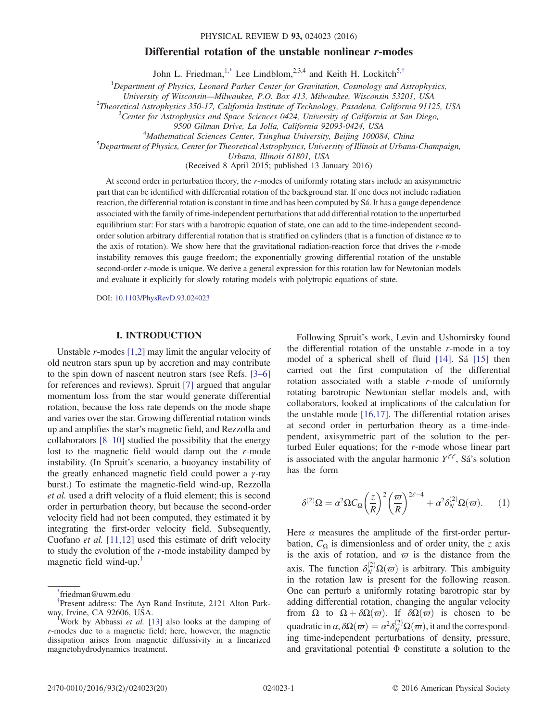# Differential rotation of the unstable nonlinear r-modes

John L. Friedman,<sup>1[,\\*](#page-0-0)</sup> Lee Lindblom,<sup>2,3,4</sup> and Keith H. Lockitch<sup>5,[†](#page-0-1)</sup>

 ${}^{1}$ Department of Physics, Leonard Parker Center for Gravitation, Cosmology and Astrophysics,

University of Wisconsin—Milwaukee, P.O. Box 413, Milwaukee, Wisconsin 53201, USA <sup>2</sup>

<span id="page-0-2"></span> $^{2}$ Theoretical Astrophysics 350-17, California Institute of Technology, Pasadena, California 91125, USA

<sup>5</sup>Center for Astrophysics and Space Sciences 0424, University of California at San Diego,

9500 Gilman Drive, La Jolla, California 92093-0424, USA <sup>4</sup>

<sup>4</sup>Mathematical Sciences Center, Tsinghua University, Beijing 100084, China

 ${}^{5}$ Department of Physics, Center for Theoretical Astrophysics, University of Illinois at Urbana-Champaign,

Urbana, Illinois 61801, USA

(Received 8 April 2015; published 13 January 2016)

At second order in perturbation theory, the r-modes of uniformly rotating stars include an axisymmetric part that can be identified with differential rotation of the background star. If one does not include radiation reaction, the differential rotation is constant in time and has been computed by Sá. It has a gauge dependence associated with the family of time-independent perturbations that add differential rotation to the unperturbed equilibrium star: For stars with a barotropic equation of state, one can add to the time-independent secondorder solution arbitrary differential rotation that is stratified on cylinders (that is a function of distance  $\omega$  to the axis of rotation). We show here that the gravitational radiation-reaction force that drives the r-mode instability removes this gauge freedom; the exponentially growing differential rotation of the unstable second-order r-mode is unique. We derive a general expression for this rotation law for Newtonian models and evaluate it explicitly for slowly rotating models with polytropic equations of state.

DOI: [10.1103/PhysRevD.93.024023](http://dx.doi.org/10.1103/PhysRevD.93.024023)

# I. INTRODUCTION

Unstable r-modes [\[1,2\]](#page-19-0) may limit the angular velocity of old neutron stars spun up by accretion and may contribute to the spin down of nascent neutron stars (see Refs. [3–[6\]](#page-19-1) for references and reviews). Spruit [\[7\]](#page-19-2) argued that angular momentum loss from the star would generate differential rotation, because the loss rate depends on the mode shape and varies over the star. Growing differential rotation winds up and amplifies the star's magnetic field, and Rezzolla and collaborators [8–[10\]](#page-19-3) studied the possibility that the energy lost to the magnetic field would damp out the r-mode instability. (In Spruit's scenario, a buoyancy instability of the greatly enhanced magnetic field could power a  $\gamma$ -ray burst.) To estimate the magnetic-field wind-up, Rezzolla et al. used a drift velocity of a fluid element; this is second order in perturbation theory, but because the second-order velocity field had not been computed, they estimated it by integrating the first-order velocity field. Subsequently, Cuofano et al. [\[11,12\]](#page-19-4) used this estimate of drift velocity to study the evolution of the  $r$ -mode instability damped by magnetic field wind-up.<sup>1</sup>

Following Spruit's work, Levin and Ushomirsky found the differential rotation of the unstable  $r$ -mode in a toy model of a spherical shell of fluid [\[14\]](#page-19-5). Sá [\[15\]](#page-19-6) then carried out the first computation of the differential rotation associated with a stable r-mode of uniformly rotating barotropic Newtonian stellar models and, with collaborators, looked at implications of the calculation for the unstable mode [\[16,17\]](#page-19-7). The differential rotation arises at second order in perturbation theory as a time-independent, axisymmetric part of the solution to the perturbed Euler equations; for the r-mode whose linear part is associated with the angular harmonic  $Y^{\ell\ell}$ , Sá's solution has the form

$$
\delta^{(2)}\Omega = \alpha^2 \Omega C_{\Omega} \left(\frac{z}{R}\right)^2 \left(\frac{\varpi}{R}\right)^{2\ell-4} + \alpha^2 \delta_N^{(2)}\Omega(\varpi). \tag{1}
$$

Here  $\alpha$  measures the amplitude of the first-order perturbation,  $C_{\Omega}$  is dimensionless and of order unity, the z axis is the axis of rotation, and  $\varpi$  is the distance from the axis. The function  $\delta_N^{(2)} \Omega(\omega)$  is arbitrary. This ambiguity<br>in the rotation law is present for the following reason in the rotation law is present for the following reason. One can perturb a uniformly rotating barotropic star by adding differential rotation, changing the angular velocity from  $\Omega$  to  $\Omega + \delta\Omega(\varpi)$ . If  $\delta\Omega(\varpi)$  is chosen to be quadratic in  $\alpha$ ,  $\delta\Omega(\varpi) = \alpha^2 \delta_N^{(2)} \Omega(\varpi)$ , it and the correspond-<br>ing time-independent perturbations of density pressure ing time-independent perturbations of density, pressure, and gravitational potential  $\Phi$  constitute a solution to the

<span id="page-0-0"></span>[<sup>\\*</sup>](#page-0-2) friedman@uwm.edu

<span id="page-0-1"></span>[<sup>†</sup>](#page-0-2) Present address: The Ayn Rand Institute, 2121 Alton Parkway, Irvine, CA 92606, USA. <sup>1</sup>

Work by Abbassi *et al.* [\[13\]](#page-19-8) also looks at the damping of r-modes due to a magnetic field; here, however, the magnetic dissipation arises from magnetic diffussivity in a linearized magnetohydrodynamics treatment.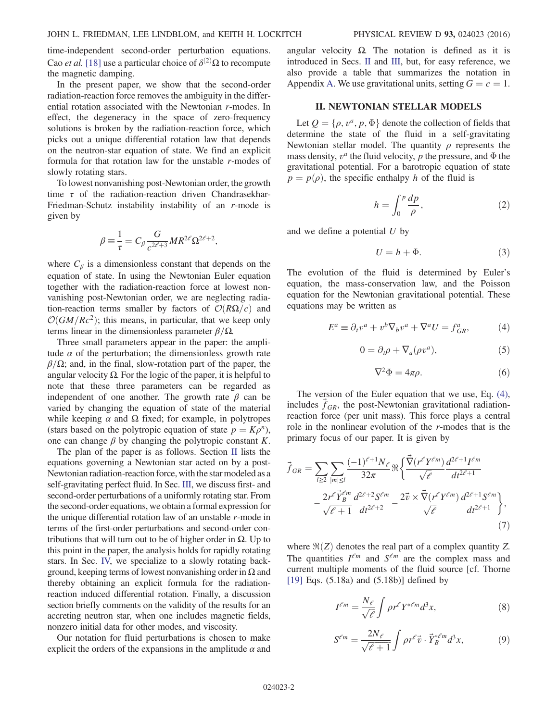time-independent second-order perturbation equations. Cao *et al.* [\[18\]](#page-19-9) use a particular choice of  $\delta^{(2)}\Omega$  to recompute the magnetic damping.

In the present paper, we show that the second-order radiation-reaction force removes the ambiguity in the differential rotation associated with the Newtonian r-modes. In effect, the degeneracy in the space of zero-frequency solutions is broken by the radiation-reaction force, which picks out a unique differential rotation law that depends on the neutron-star equation of state. We find an explicit formula for that rotation law for the unstable r-modes of slowly rotating stars.

To lowest nonvanishing post-Newtonian order, the growth time  $\tau$  of the radiation-reaction driven Chandrasekhar-Friedman-Schutz instability instability of an r-mode is given by

$$
\beta \equiv \frac{1}{\tau} = C_{\beta} \frac{G}{c^{2\ell+3}} M R^{2\ell} \Omega^{2\ell+2},
$$

where  $C_\beta$  is a dimensionless constant that depends on the equation of state. In using the Newtonian Euler equation together with the radiation-reaction force at lowest nonvanishing post-Newtonian order, we are neglecting radiation-reaction terms smaller by factors of  $\mathcal{O}(R\Omega/c)$  and  $O(GM/Re<sup>2</sup>)$ ; this means, in particular, that we keep only terms linear in the dimensionless parameter  $β/Ω$ .

Three small parameters appear in the paper: the amplitude  $\alpha$  of the perturbation; the dimensionless growth rate  $\beta/\Omega$ ; and, in the final, slow-rotation part of the paper, the angular velocity  $\Omega$ . For the logic of the paper, it is helpful to note that these three parameters can be regarded as independent of one another. The growth rate  $\beta$  can be varied by changing the equation of state of the material while keeping  $\alpha$  and  $\Omega$  fixed; for example, in polytropes (stars based on the polytropic equation of state  $p = K\rho^n$ ), one can change  $\beta$  by changing the polytropic constant K.

The plan of the paper is as follows. Section [II](#page-1-0) lists the equations governing a Newtonian star acted on by a post-Newtonian radiation-reaction force, with the star modeled as a self-gravitating perfect fluid. In Sec. [III,](#page-2-0) we discuss first- and second-order perturbations of a uniformly rotating star. From the second-order equations, we obtain a formal expression for the unique differential rotation law of an unstable r-mode in terms of the first-order perturbations and second-order contributions that will turn out to be of higher order in Ω. Up to this point in the paper, the analysis holds for rapidly rotating stars. In Sec. [IV,](#page-7-0) we specialize to a slowly rotating background, keeping terms of lowest nonvanishing order in  $\Omega$  and thereby obtaining an explicit formula for the radiationreaction induced differential rotation. Finally, a discussion section briefly comments on the validity of the results for an accreting neutron star, when one includes magnetic fields, nonzero initial data for other modes, and viscosity.

Our notation for fluid perturbations is chosen to make explicit the orders of the expansions in the amplitude  $\alpha$  and angular velocity  $Ω$ . The notation is defined as it is introduced in Secs. [II](#page-1-0) and [III,](#page-2-0) but, for easy reference, we also provide a table that summarizes the notation in Appendix [A.](#page-16-0) We use gravitational units, setting  $G = c = 1$ .

# II. NEWTONIAN STELLAR MODELS

<span id="page-1-0"></span>Let  $Q = \{\rho, v^a, p, \Phi\}$  denote the collection of fields that determine the state of the fluid in a self-gravitating Newtonian stellar model. The quantity  $\rho$  represents the mass density,  $v^a$  the fluid velocity, p the pressure, and  $\Phi$  the gravitational potential. For a barotropic equation of state  $p = p(\rho)$ , the specific enthalpy h of the fluid is

$$
h = \int_0^p \frac{dp}{\rho},\tag{2}
$$

and we define a potential  $U$  by

$$
U = h + \Phi. \tag{3}
$$

<span id="page-1-1"></span>The evolution of the fluid is determined by Euler's equation, the mass-conservation law, and the Poisson equation for the Newtonian gravitational potential. These equations may be written as

$$
E^a \equiv \partial_t v^a + v^b \nabla_b v^a + \nabla^a U = f^a_{GR}, \tag{4}
$$

$$
0 = \partial_t \rho + \nabla_a (\rho v^a), \tag{5}
$$

$$
\nabla^2 \Phi = 4\pi \rho. \tag{6}
$$

<span id="page-1-3"></span>The version of the Euler equation that we use, Eq. [\(4\)](#page-1-1), includes  $f_{GR}$ , the post-Newtonian gravitational radiationreaction force (per unit mass). This force plays a central role in the nonlinear evolution of the r-modes that is the primary focus of our paper. It is given by

<span id="page-1-2"></span>
$$
\vec{f}_{GR} = \sum_{l \ge 2} \sum_{|m| \le l} \frac{(-1)^{\ell+1} N_{\ell}}{32\pi} \Re \left\{ \frac{\vec{\nabla} (r^{\ell} Y^{\ell m})}{\sqrt{\ell}} \frac{d^{2\ell+1} I^{\ell m}}{dt^{2\ell+1}} - \frac{2r^{\ell} \vec{Y}_{B}^{\ell m}}{\sqrt{\ell+1}} \frac{d^{2\ell+2} S^{\ell m}}{dt^{2\ell+2}} - \frac{2\vec{v} \times \vec{\nabla} (r^{\ell} Y^{\ell m})}{\sqrt{\ell}} \frac{d^{2\ell+1} S^{\ell m}}{dt^{2\ell+1}} \right\},\tag{7}
$$

where  $\Re(Z)$  denotes the real part of a complex quantity Z. The quantities  $I^{\ell m}$  and  $S^{\ell m}$  are the complex mass and current multiple moments of the fluid source [cf. Thorne [\[19\]](#page-19-10) Eqs. (5.18a) and (5.18b)] defined by

$$
I^{\ell m} = \frac{N_{\ell}}{\sqrt{\ell}} \int \rho r^{\ell} Y^{*\ell m} d^3 x,\tag{8}
$$

$$
S^{\ell m} = \frac{2N_{\ell}}{\sqrt{\ell+1}} \int \rho r^{\ell} \vec{v} \cdot \vec{Y}_{B}^{*\ell m} d^{3}x, \tag{9}
$$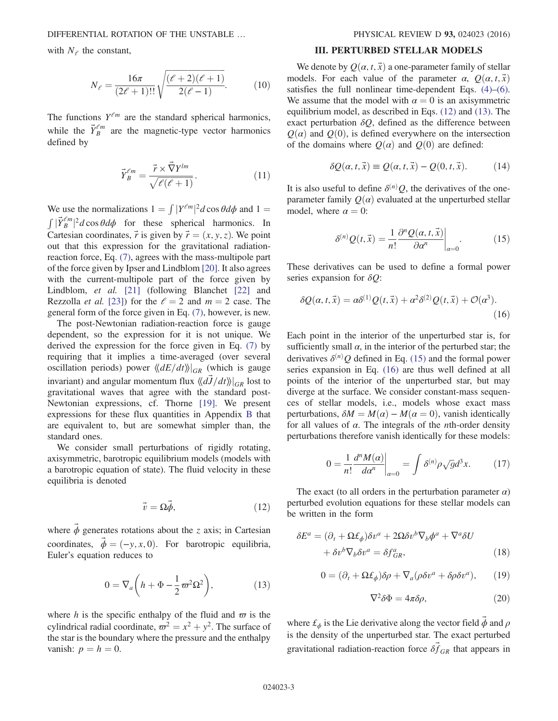<span id="page-2-7"></span>with  $N_e$  the constant,

$$
N_{\ell} = \frac{16\pi}{(2\ell+1)!!} \sqrt{\frac{(\ell+2)(\ell+1)}{2(\ell-1)}}.
$$
 (10)

The functions  $Y^{\ell m}$  are the standard spherical harmonics, while the  $\vec{Y}_{B}^{\ell m}$  are the magnetic-type vector harmonics defined by

$$
\vec{Y}_{B}^{\ell m} = \frac{\vec{r} \times \vec{\nabla} Y^{lm}}{\sqrt{\ell(\ell+1)}}.
$$
\n(11)

We use the normalizations  $1 = \int |Y^{\ell m}|$ We use the normalizations  $1 = \int |Y^{\ell m}|^2 d\cos\theta d\phi$  and  $1 = \int |\vec{Y}_B^{\ell m}|^2 d\cos\theta d\phi$  for these spherical harmonics. In  $|\vec{Y}_B^{\ell m}|^2 d \cos \theta d\phi$  for these spherical harmonics. In  $\frac{B}{\sqrt{2}}$ Cartesian coordinates,  $\vec{r}$  is given by  $\vec{r} = (x, y, z)$ . We point out that this expression for the gravitational radiationout that this expression for the gravitational radiationreaction force, Eq. [\(7\)](#page-1-2), agrees with the mass-multipole part of the force given by Ipser and Lindblom [\[20\].](#page-19-11) It also agrees with the current-multipole part of the force given by Lindblom, *et al.* [\[21\]](#page-19-12) (following Blanchet [\[22\]](#page-19-13) and Rezzolla *et al.* [\[23\]](#page-19-14)) for the  $l = 2$  and  $m = 2$  case. The general form of the force given in Eq. [\(7\)](#page-1-2), however, is new.

The post-Newtonian radiation-reaction force is gauge dependent, so the expression for it is not unique. We derived the expression for the force given in Eq. [\(7\)](#page-1-2) by requiring that it implies a time-averaged (over several oscillation periods) power  $\langle \langle dE/dt \rangle \rangle |_{GR}$  (which is gauge invariant) and angular momentum flux  $\langle \langle d\vec{J}/dt \rangle \rangle_{GR}$  lost to gravitational waves that agree with the standard post-Newtonian expressions, cf. Thorne [\[19\].](#page-19-10) We present expressions for these flux quantities in Appendix [B](#page-16-1) that are equivalent to, but are somewhat simpler than, the standard ones.

<span id="page-2-1"></span>We consider small perturbations of rigidly rotating, axisymmetric, barotropic equilibrium models (models with a barotropic equation of state). The fluid velocity in these equilibria is denoted

$$
\vec{v} = \Omega \vec{\phi},\tag{12}
$$

<span id="page-2-2"></span>where  $\phi$  generates rotations about the z axis; in Cartesian coordinates,  $\vec{\phi} = (-y, x, 0)$ . For barotropic equilibria, Euler's equation reduces to

$$
0 = \nabla_a \left( h + \Phi - \frac{1}{2} \varpi^2 \Omega^2 \right), \tag{13}
$$

where h is the specific enthalpy of the fluid and  $\varpi$  is the cylindrical radial coordinate,  $\varpi^2 = x^2 + y^2$ . The surface of the star is the boundary where the pressure and the enthalpy vanish:  $p = h = 0$ .

# III. PERTURBED STELLAR MODELS

<span id="page-2-0"></span>We denote by  $Q(\alpha, t, \vec{x})$  a one-parameter family of stellar models. For each value of the parameter  $\alpha$ ,  $Q(\alpha, t, \vec{x})$ satisfies the full nonlinear time-dependent Eqs.  $(4)$ – $(6)$ . We assume that the model with  $\alpha = 0$  is an axisymmetric equilibrium model, as described in Eqs. [\(12\)](#page-2-1) and [\(13\)](#page-2-2). The exact perturbation  $\delta Q$ , defined as the difference between  $Q(\alpha)$  and  $Q(0)$ , is defined everywhere on the intersection of the domains where  $Q(\alpha)$  and  $Q(0)$  are defined:

$$
\delta Q(\alpha, t, \vec{x}) \equiv Q(\alpha, t, \vec{x}) - Q(0, t, \vec{x}). \tag{14}
$$

<span id="page-2-3"></span>It is also useful to define  $\delta^{(n)}Q$ , the derivatives of the oneparameter family  $Q(\alpha)$  evaluated at the unperturbed stellar model, where  $\alpha = 0$ :

$$
\delta^{(n)}Q(t,\vec{x}) = \frac{1}{n!} \frac{\partial^n Q(\alpha, t, \vec{x})}{\partial \alpha^n} \bigg|_{\alpha=0}.
$$
 (15)

<span id="page-2-4"></span>These derivatives can be used to define a formal power series expansion for  $\delta Q$ :

$$
\delta Q(\alpha, t, \vec{x}) = \alpha \delta^{(1)} Q(t, \vec{x}) + \alpha^2 \delta^{(2)} Q(t, \vec{x}) + \mathcal{O}(\alpha^3). \tag{16}
$$

Each point in the interior of the unperturbed star is, for sufficiently small  $\alpha$ , in the interior of the perturbed star; the derivatives  $\delta^{(n)}Q$  defined in Eq. [\(15\)](#page-2-3) and the formal power series expansion in Eq. [\(16\)](#page-2-4) are thus well defined at all points of the interior of the unperturbed star, but may diverge at the surface. We consider constant-mass sequences of stellar models, i.e., models whose exact mass perturbations,  $\delta M = M(\alpha) - M(\alpha = 0)$ , vanish identically for all values of  $\alpha$ . The integrals of the *n*th-order density perturbations therefore vanish identically for these models:

<span id="page-2-6"></span>
$$
0 = \frac{1}{n!} \frac{d^n M(\alpha)}{d\alpha^n} \bigg|_{\alpha=0} = \int \delta^{(n)} \rho \sqrt{g} d^3 x. \tag{17}
$$

<span id="page-2-5"></span>The exact (to all orders in the perturbation parameter  $\alpha$ ) perturbed evolution equations for these stellar models can be written in the form

$$
\delta E^{a} = (\partial_{t} + \Omega \pounds_{\phi}) \delta v^{a} + 2\Omega \delta v^{b} \nabla_{b} \phi^{a} + \nabla^{a} \delta U + \delta v^{b} \nabla_{b} \delta v^{a} = \delta f^{a}_{GR},
$$
\n(18)

$$
0 = (\partial_t + \Omega \mathcal{L}_{\phi}) \delta \rho + \nabla_a (\rho \delta v^a + \delta \rho \delta v^a), \qquad (19)
$$

$$
\nabla^2 \delta \Phi = 4\pi \delta \rho, \qquad (20)
$$

where  $\mathcal{L}_{\phi}$  is the Lie derivative along the vector field  $\vec{\phi}$  and  $\rho$ is the density of the unperturbed star. The exact perturbed gravitational radiation-reaction force  $\delta f_{GR}$  that appears in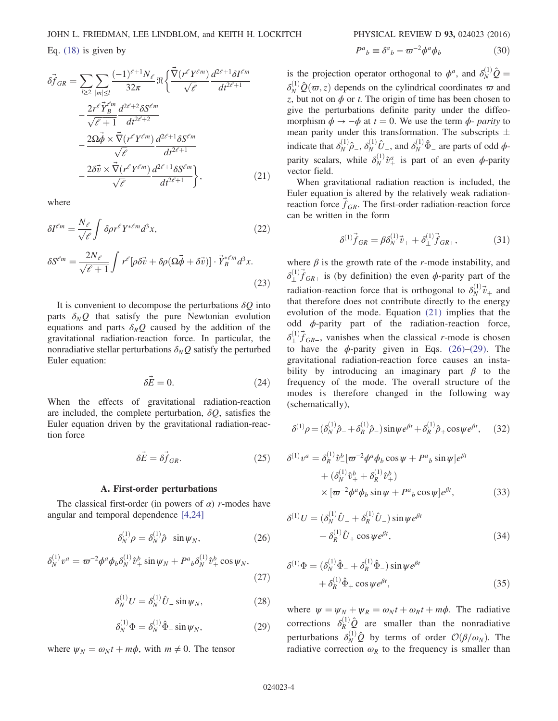<span id="page-3-0"></span>Eq. [\(18\)](#page-2-5) is given by

$$
\delta \vec{f}_{GR} = \sum_{l \ge 2} \sum_{|m| \le l} \frac{(-1)^{\ell+1} N_{\ell}}{32\pi} \Re \left\{ \frac{\vec{\nabla} (r^{\ell} Y^{\ell m})}{\sqrt{\ell}} \frac{d^{2\ell+1} \delta l^{\ell m}}{dt^{2\ell+1}} \right. \\
\left. - \frac{2r^{\ell} \vec{Y}_{B}^{\ell m}}{\sqrt{\ell+1}} \frac{d^{2\ell+2} \delta S^{\ell m}}{dt^{2\ell+2}} \right. \\
\left. - \frac{2\Omega \vec{\phi} \times \vec{\nabla} (r^{\ell} Y^{\ell m})}{\sqrt{\ell}} \frac{d^{2\ell+1} \delta S^{\ell m}}{dt^{2\ell+1}} \right. \\
\left. - \frac{2\delta \vec{v} \times \vec{\nabla} (r^{\ell} Y^{\ell m})}{\sqrt{\ell}} \frac{d^{2\ell+1} \delta S^{\ell m}}{dt^{2\ell+1}} \right\}, \tag{21}
$$

<span id="page-3-6"></span>where

$$
\delta I^{\ell m} = \frac{N_{\ell}}{\sqrt{\ell}} \int \delta \rho r^{\ell} Y^{*\ell m} d^3 x,\tag{22}
$$

<span id="page-3-7"></span>
$$
\delta S^{\ell m} = \frac{2N_{\ell}}{\sqrt{\ell+1}} \int r^{\ell} [\rho \delta \vec{v} + \delta \rho (\Omega \vec{\phi} + \delta \vec{v})] \cdot \vec{Y}_{B}^{*\ell m} d^{3}x. \tag{23}
$$

It is convenient to decompose the perturbations  $\delta Q$  into parts  $\delta_N Q$  that satisfy the pure Newtonian evolution equations and parts  $\delta_R Q$  caused by the addition of the gravitational radiation-reaction force. In particular, the nonradiative stellar perturbations  $\delta_N Q$  satisfy the perturbed Euler equation:

$$
\delta \vec{E} = 0. \tag{24}
$$

When the effects of gravitational radiation-reaction are included, the complete perturbation,  $\delta Q$ , satisfies the Euler equation driven by the gravitational radiation-reaction force

$$
\delta \vec{E} = \delta \vec{f}_{GR}.\tag{25}
$$

#### A. First-order perturbations

<span id="page-3-5"></span><span id="page-3-1"></span>The classical first-order (in powers of  $\alpha$ ) r-modes have angular and temporal dependence [\[4,24\]](#page-19-15)

$$
\delta_N^{(1)} \rho = \delta_N^{(1)} \hat{\rho}_- \sin \psi_N, \qquad (26)
$$

<span id="page-3-2"></span>
$$
\delta_N^{(1)} v^a = \varpi^{-2} \phi^a \phi_b \delta_N^{(1)} \hat{v}_+^b \sin \psi_N + P^a{}_b \delta_N^{(1)} \hat{v}_+^b \cos \psi_N,
$$
\n(27)

$$
\delta_N^{(1)} U = \delta_N^{(1)} \hat{U}_- \sin \psi_N,\tag{28}
$$

$$
\delta_N^{(1)} \Phi = \delta_N^{(1)} \hat{\Phi}_- \sin \psi_N, \tag{29}
$$

<span id="page-3-9"></span>where  $\psi_N = \omega_N t + m\phi$ , with  $m \neq 0$ . The tensor

$$
a_{b} \equiv \delta^{a}{}_{b} - \varpi^{-2} \phi^{a} \phi_{b} \tag{30}
$$

is the projection operator orthogonal to  $\phi^a$ , and  $\delta_N^{(1)} \hat{Q} =$  $\delta_N^{(1)} \hat{Q}(\varpi, z)$  depends on the cylindrical coordinates  $\varpi$  and  $z$  but not on  $\phi$  or t. The origin of time has been chosen to z, but not on  $\phi$  or t. The origin of time has been chosen to give the perturbations definite parity under the diffeomorphism  $\phi \rightarrow -\phi$  at  $t = 0$ . We use the term  $\phi$ - parity to mean parity under this transformation. The subscripts  $\pm$ indicate that  $\delta_N^{(1)}\hat{\rho}_-, \delta_N^{(1)}\hat{U}_-,$  and  $\delta_N^{(1)}\hat{\Phi}_-$  are parts of odd  $\phi$ parity scalars, while  $\delta_N^{(1)} \hat{v}_+^a$  is part of an even  $\phi$ -parity vector field.

 $\overline{P}$ 

<span id="page-3-8"></span>When gravitational radiation reaction is included, the Euler equation is altered by the relatively weak radiationreaction force  $f_{GR}$ . The first-order radiation-reaction force can be written in the form

$$
\delta^{(1)}\vec{f}_{GR} = \beta \delta_N^{(1)} \vec{v}_+ + \delta_\perp^{(1)} \vec{f}_{GR+},\tag{31}
$$

where  $\beta$  is the growth rate of the r-mode instability, and  $\delta_{\perp}^{(1)} \vec{f}_{GR+}$  is (by definition) the even  $\phi$ -parity part of the radiation-reaction force that is orthogonal to  $\delta_N^{(1)} \vec{v}_+$  and that therefore does not contribute directly to the energy that therefore does not contribute directly to the energy evolution of the mode. Equation [\(21\)](#page-3-0) implies that the odd  $\phi$ -parity part of the radiation-reaction force,  $\delta_{\perp}^{(1)}$  f<sub>GR-</sub>, vanishes when the classical r-mode is chosen to have the  $\phi$ -parity given in Eqs. [\(26\)](#page-3-1)–[\(29\).](#page-3-2) The gravitational radiation-reaction force causes an instability by introducing an imaginary part  $\beta$  to the frequency of the mode. The overall structure of the modes is therefore changed in the following way (schematically),

<span id="page-3-3"></span>
$$
\delta^{(1)}\rho = (\delta_N^{(1)}\hat{\rho}_- + \delta_R^{(1)}\hat{\rho}_-) \sin\psi e^{\beta t} + \delta_R^{(1)}\hat{\rho}_+ \cos\psi e^{\beta t}, \quad (32)
$$

$$
\delta^{(1)}v^a = \delta_R^{(1)}\hat{v}^b_-[\varpi^{-2}\phi^a\phi_b\cos\psi + P^a{}_b\sin\psi]e^{\beta t} + (\delta_N^{(1)}\hat{v}^b_+ + \delta_R^{(1)}\hat{v}^b_+) \times [\varpi^{-2}\phi^a\phi_b\sin\psi + P^a{}_b\cos\psi]e^{\beta t},
$$
(33)

$$
\delta^{(1)}U = (\delta_N^{(1)}\hat{U}_- + \delta_R^{(1)}\hat{U}_-) \sin \psi e^{\beta t} + \delta_R^{(1)}\hat{U}_+ \cos \psi e^{\beta t},
$$
\n(34)

<span id="page-3-4"></span>
$$
\delta^{(1)}\Phi = (\delta_N^{(1)}\hat{\Phi}_- + \delta_R^{(1)}\hat{\Phi}_-) \sin \psi e^{\beta t} + \delta_R^{(1)}\hat{\Phi}_+ \cos \psi e^{\beta t},
$$
\n(35)

where  $\psi = \psi_N + \psi_R = \omega_N t + \omega_R t + m\phi$ . The radiative corrections  $\delta_R^{(1)} \hat{Q}$  are smaller than the nonradiative perturbations  $\delta_N^{(1)} \hat{Q}$  by terms of order  $\mathcal{O}(\beta/\omega_N)$ . The radiative correction  $\omega_N$  to the frequency is smaller than radiative correction  $\omega_R$  to the frequency is smaller than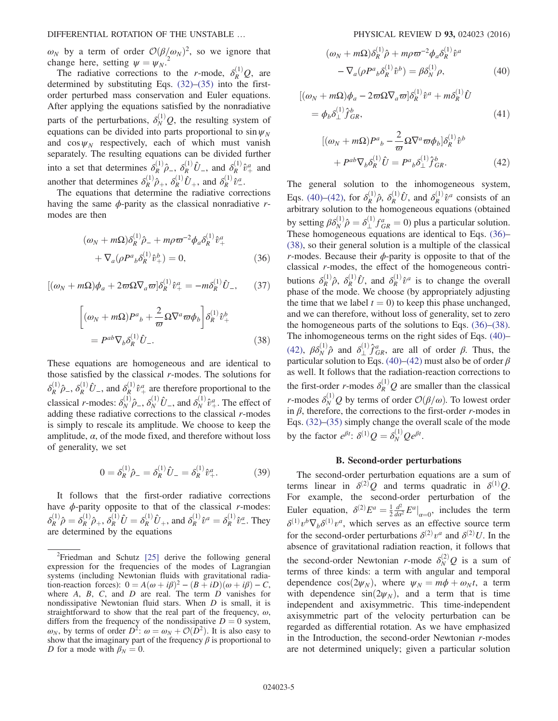$\omega_N$  by a term of order  $\mathcal{O}(\beta/\omega_N)^2$ , so we ignore that change here setting  $w = \frac{u_N}{2}$ change here, setting  $\psi = \psi_N$ .

The radiative corrections to the r-mode,  $\delta_R^{(1)}Q$ , are determined by substituting Eqs. [\(32\)](#page-3-3)–[\(35\)](#page-3-4) into the firstorder perturbed mass conservation and Euler equations. After applying the equations satisfied by the nonradiative parts of the perturbations,  $\delta_N^{(1)}Q$ , the resulting system of equations can be divided into parts proportional to  $\sin \psi_N$ and  $\cos \psi_N$  respectively, each of which must vanish separately. The resulting equations can be divided further into a set that determines  $\delta_R^{(1)} \hat{\rho}_-, \delta_R^{(1)} \hat{U}_-,$  and  $\delta_R^{(1)} \hat{v}_+^a$  and another that determines  $\delta_R^{(1)} \hat{\rho}_+$ ,  $\delta_R^{(1)} \hat{U}_+$ , and  $\delta_R^{(1)} \hat{\nu}_-$ .<br>The equations that determine the rediative corre

<span id="page-4-2"></span>The equations that determine the radiative corrections having the same  $\phi$ -parity as the classical nonradiative rmodes are then

$$
(\omega_N + m\Omega)\delta_R^{(1)}\hat{\rho}_- + m\rho\varpi^{-2}\phi_a\delta_R^{(1)}\hat{v}_+^a
$$
  
+ 
$$
\nabla_a(\rho P^a{}_b\delta_R^{(1)}\hat{v}_+^b) = 0,
$$
 (36)

<span id="page-4-3"></span>
$$
[(\omega_N + m\Omega)\phi_a + 2\varpi\Omega\nabla_a\varpi]\delta_R^{(1)}\hat{v}_+^a = -m\delta_R^{(1)}\hat{U}_-, \qquad (37)
$$

$$
\left[ (\omega_N + m\Omega) P^a{}_b + \frac{2}{\varpi} \Omega \nabla^a \varpi \phi_b \right] \delta_R^{(1)} \hat{v}_+^b
$$
  
=  $P^{ab} \nabla_b \delta_R^{(1)} \hat{U}_-$ . (38)

These equations are homogeneous and are identical to those satisfied by the classical r-modes. The solutions for  $\delta_R^{(1)}$  $\hat{\rho}_-, \delta_R^{(1)} \hat{U}_-,$  and  $\delta_R^{(1)} \hat{v}_+^a$  are therefore proportional to the classical r-modes:  $\delta_N^{(1)} \hat{\rho}_-, \delta_N^{(1)} \hat{U}_-,$  and  $\delta_N^{(1)} \hat{v}_+,^d$ . The effect of adding these radiative corrections to the classical  $r$ -modes is simply to rescale its amplitude. We choose to keep the amplitude,  $\alpha$ , of the mode fixed, and therefore without loss of generality, we set

$$
0 = \delta_R^{(1)} \hat{\rho}_- = \delta_R^{(1)} \hat{U}_- = \delta_R^{(1)} \hat{v}_+^a. \tag{39}
$$

<span id="page-4-0"></span>It follows that the first-order radiative corrections have  $\phi$ -parity opposite to that of the classical *r*-modes:  $\delta_R^{(1)} \hat{\rho} = \delta_R^{(1)} \hat{\rho}_+, \delta_R^{(1)} \hat{U} = \delta_R^{(1)} \hat{U}_+,$  and  $\delta_R^{(1)} \hat{v}^a = \delta_R^{(1)} \hat{v}^a$ . They are determined by the equations are determined by the equations

$$
(\omega_N + m\Omega)\delta_R^{(1)}\hat{\rho} + m\rho\varpi^{-2}\phi_a\delta_R^{(1)}\hat{v}^a
$$

$$
-\nabla_a(\rho P^a{}_b\delta_R^{(1)}\hat{v}^b) = \beta\delta_N^{(1)}\rho,
$$
(40)

$$
[(\omega_N + m\Omega)\phi_a - 2\varpi\Omega\nabla_a\varpi]\delta_R^{(1)}\hat{v}^a + m\delta_R^{(1)}\hat{U}
$$
  
=  $\phi_b\delta_\perp^{(1)}\hat{f}_{GR}^b,$  (41)

<span id="page-4-1"></span>
$$
[(\omega_N + m\Omega)P^a{}_b - \frac{2}{\varpi}\Omega\nabla^a\varpi\phi_b]\delta_R^{(1)}\hat{v}^b
$$

$$
+ P^{ab}\nabla_b\delta_R^{(1)}\hat{U} = P^a{}_b\delta_\perp^{(1)}\hat{f}^b_{GR}.
$$
(42)

The general solution to the inhomogeneous system, Eqs. [\(40\)](#page-4-0)–[\(42\),](#page-4-1) for  $\delta_R^{(1)}\hat{\rho}$ ,  $\delta_R^{(1)}\hat{U}$ , and  $\delta_R^{(1)}\hat{v}^a$  consists of an arbitrary solution to the homogeneous equations (obtained by setting  $\beta \delta_N^{(1)} \hat{\rho} = \delta_{\perp}^{(1)} f_{GR}^a = 0$ ) plus a particular solution.<br>These homogeneous equations are identical to Eqs. (36) These homogeneous equations are identical to Eqs. [\(36\)](#page-4-2)– [\(38\)](#page-4-3), so their general solution is a multiple of the classical r-modes. Because their  $\phi$ -parity is opposite to that of the classical r-modes, the effect of the homogeneous contributions  $\delta_R^{(1)}\hat{\rho}$ ,  $\delta_R^{(1)}\hat{U}$ , and  $\delta_R^{(1)}\hat{v}^a$  is to change the overall phase of the mode. We choose (by appropriately adjusting the time that we label  $t = 0$ ) to keep this phase unchanged, and we can therefore, without loss of generality, set to zero the homogeneous parts of the solutions to Eqs. [\(36\)](#page-4-2)–[\(38\)](#page-4-3). The inhomogeneous terms on the right sides of Eqs. [\(40\)](#page-4-0)– [\(42\)](#page-4-1),  $\beta \delta_N^{(1)} \hat{\rho}$  and  $\delta_\perp^{(1)} \hat{f}_{GR}^a$ , are all of order  $\beta$ . Thus, the particular solution to Eqs. [\(40\)](#page-4-0)–[\(42\)](#page-4-1) must also be of order  $\beta$ as well. It follows that the radiation-reaction corrections to the first-order *r*-modes  $\delta_R^{(1)}Q$  are smaller than the classical *r*-modes  $\delta_N^{(1)}Q$  by terms of order  $\mathcal{O}(\beta/\omega)$ . To lowest order in  $\beta$  therefore the corrections to the first-order *r*-modes in in  $\beta$ , therefore, the corrections to the first-order r-modes in Eqs. [\(32\)](#page-3-3)–[\(35\)](#page-3-4) simply change the overall scale of the mode by the factor  $e^{\beta t}$ :  $\delta^{(1)}Q = \delta_N^{(1)}Qe^{\beta t}$ .

#### B. Second-order perturbations

The second-order perturbation equations are a sum of terms linear in  $\delta^{(2)}Q$  and terms quadratic in  $\delta^{(1)}Q$ . For example, the second-order perturbation of the Euler equation,  $\delta^{(2)}E^a = \frac{1}{2}\frac{d^2}{da^2}E^a\big|_{\alpha=0}$ , includes the term  $\delta^{(1)}v^b\nabla_b\delta^{(1)}v^a$ , which serves as an effective source term for the second-order perturbations  $\delta^{(2)}v^a$  and  $\delta^{(2)}U$ . In the absence of gravitational radiation reaction, it follows that the second-order Newtonian *r*-mode  $\delta_N^{(2)}Q$  is a sum of terms of three kinds: a term with angular and temporal dependence  $cos(2\psi_N)$ , where  $\psi_N = m\phi + \omega_N t$ , a term with dependence  $sin(2\psi_N)$ , and a term that is time independent and axisymmetric. This time-independent axisymmetric part of the velocity perturbation can be regarded as differential rotation. As we have emphasized in the Introduction, the second-order Newtonian r-modes are not determined uniquely; given a particular solution

 $2$ Friedman and Schutz [\[25\]](#page-19-16) derive the following general expression for the frequencies of the modes of Lagrangian systems (including Newtonian fluids with gravitational radiation-reaction forces):  $0 = A(\omega + i\beta)^2 - (B + iD)(\omega + i\beta) - C$ , where  $A$ ,  $B$ ,  $C$ , and  $D$  are real. The term  $D$  vanishes for nondissipative Newtonian fluid stars. When  $D$  is small, it is straightforward to show that the real part of the frequency,  $\omega$ , differs from the frequency of the nondissipative  $D = 0$  system,  $\omega_N$ , by terms of order  $D^2$ :  $\omega = \omega_N + \mathcal{O}(\overline{D}^2)$ . It is also easy to show that the imaginary part of the frequency  $\beta$  is proportional to D for a mode with  $\beta_N = 0$ .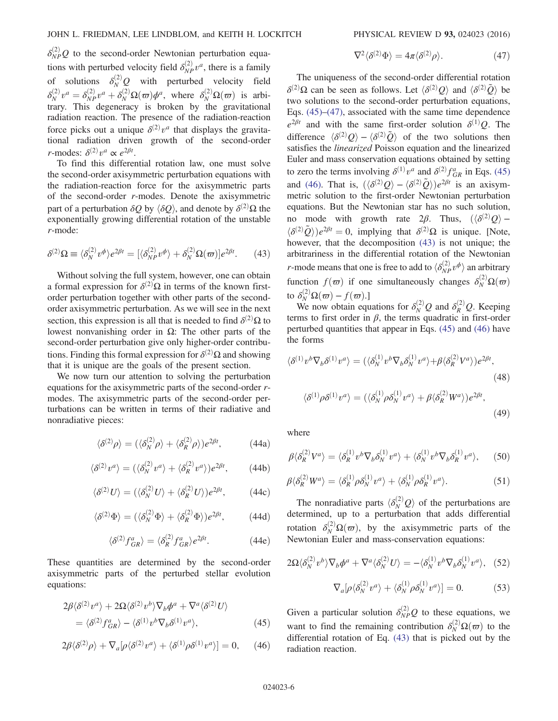$\delta_{NP}^{(2)}Q$  to the second-order Newtonian perturbation equations with perturbed velocity field  $\delta_{NP}^{(2)} v^a$ , there is a family of solutions  $\delta_N^{(2)}Q$  with perturbed velocity field  $\delta_N^{(2)} v^a = \delta_{NP}^{(2)} v^a + \delta_N^{(2)} \Omega(\varpi) \phi^a$ , where  $\delta_N^{(2)} \Omega(\varpi)$  is arbi-<br>trary This degeneracy is broken by the gravitational trary. This degeneracy is broken by the gravitational radiation reaction. The presence of the radiation-reaction force picks out a unique  $\delta^{(2)}v^a$  that displays the gravitational radiation driven growth of the second-order *r*-modes:  $\delta^{(2)}v^a \propto e^{2\beta t}$ .

To find this differential rotation law, one must solve the second-order axisymmetric perturbation equations with the radiation-reaction force for the axisymmetric parts of the second-order r-modes. Denote the axisymmetric part of a perturbation  $\delta Q$  by  $\langle \delta Q \rangle$ , and denote by  $\delta^{(2)} \Omega$  the exponentially growing differential rotation of the unstable exponentially growing differential rotation of the unstable r-mode:

<span id="page-5-3"></span>
$$
\delta^{(2)}\Omega \equiv \langle \delta_N^{(2)} v^{\phi} \rangle e^{2\beta t} = [\langle \delta_{NP}^{(2)} v^{\phi} \rangle + \delta_N^{(2)} \Omega(\varpi)] e^{2\beta t}.
$$
 (43)

Without solving the full system, however, one can obtain a formal expression for  $\delta^{(2)}\Omega$  in terms of the known firstorder perturbation together with other parts of the secondorder axisymmetric perturbation. As we will see in the next section, this expression is all that is needed to find  $\delta^{(2)}\Omega$  to lowest nonvanishing order in  $Ω$ : The other parts of the second-order perturbation give only higher-order contributions. Finding this formal expression for  $\delta^{(2)}\Omega$  and showing that it is unique are the goals of the present section.

We now turn our attention to solving the perturbation equations for the axisymmetric parts of the second-order rmodes. The axisymmetric parts of the second-order perturbations can be written in terms of their radiative and nonradiative pieces:

$$
\langle \delta^{(2)} \rho \rangle = (\langle \delta_N^{(2)} \rho \rangle + \langle \delta_R^{(2)} \rho \rangle) e^{2\beta t}, \tag{44a}
$$

$$
\langle \delta^{(2)} v^a \rangle = (\langle \delta_N^{(2)} v^a \rangle + \langle \delta_R^{(2)} v^a \rangle) e^{2\beta t}, \tag{44b}
$$

$$
\langle \delta^{(2)} U \rangle = (\langle \delta_N^{(2)} U \rangle + \langle \delta_R^{(2)} U \rangle) e^{2\beta t}, \tag{44c}
$$

$$
\langle \delta^{(2)} \Phi \rangle = (\langle \delta_N^{(2)} \Phi \rangle + \langle \delta_R^{(2)} \Phi \rangle) e^{2\beta t}, \tag{44d}
$$

$$
\langle \delta^{(2)} f_{GR}^a \rangle = \langle \delta_R^{(2)} f_{GR}^a \rangle e^{2\beta t}.
$$
 (44e)

<span id="page-5-0"></span>These quantities are determined by the second-order axisymmetric parts of the perturbed stellar evolution equations:

$$
2\beta \langle \delta^{(2)} v^a \rangle + 2\Omega \langle \delta^{(2)} v^b \rangle \nabla_b \phi^a + \nabla^a \langle \delta^{(2)} U \rangle = \langle \delta^{(2)} f^a_{GR} \rangle - \langle \delta^{(1)} v^b \nabla_b \delta^{(1)} v^a \rangle,
$$
(45)

<span id="page-5-2"></span>
$$
2\beta \langle \delta^{(2)}\rho \rangle + \nabla_a [\rho \langle \delta^{(2)} v^a \rangle + \langle \delta^{(1)}\rho \delta^{(1)} v^a \rangle] = 0, \quad (46)
$$

$$
\nabla^2 \langle \delta^{(2)} \Phi \rangle = 4\pi \langle \delta^{(2)} \rho \rangle. \tag{47}
$$

<span id="page-5-1"></span>The uniqueness of the second-order differential rotation  $\delta^{(2)}\Omega$  can be seen as follows. Let  $\langle \delta^{(2)}Q \rangle$  and  $\langle \delta^{(2)}\tilde{Q} \rangle$  be<br>two solutions to the second-order perturbation equations two solutions to the second-order perturbation equations, Eqs. [\(45\)](#page-5-0)–[\(47\)](#page-5-1), associated with the same time dependence  $e^{2\beta t}$  and with the same first-order solution  $\delta^{(1)}Q$ . The difference  $\langle \delta^{(2)}Q \rangle - \langle \delta^{(2)}\tilde{Q} \rangle$  of the two solutions then satisfies the *linearized* Poisson equation and the linearized satisfies the linearized Poisson equation and the linearized Euler and mass conservation equations obtained by setting to zero the terms involving  $\delta^{(1)}v^a$  and  $\delta^{(2)}f^a_{GR}$  in Eqs. [\(45\)](#page-5-0) and [\(46\)](#page-5-2). That is,  $\langle \delta^{(2)}Q \rangle - \langle \delta^{(2)}\tilde{Q} \rangle e^{2\beta t}$  is an axisymmetric solution to the first-order Newtonian perturbation metric solution to the first-order Newtonian perturbation equations. But the Newtonian star has no such solution, no mode with growth rate  $2\beta$ . Thus,  $(\delta^{(2)}Q) - (\delta^{(2)}Q) \tilde{\Omega}$  and  $\delta^{(2)}Q$  is unique Note  $\langle \delta^{(2)}\tilde{Q} \rangle e^{2\beta t} = 0$ , implying that  $\delta^{(2)}\Omega$  is unique. [Note, however, that the decomposition (43) is not unique; the however, that the decomposition [\(43\)](#page-5-3) is not unique; the arbitrariness in the differential rotation of the Newtonian *r*-mode means that one is free to add to  $\langle \delta_{NP}^{(2)} v^{\phi} \rangle$  an arbitrary function  $f(\varpi)$  if one simultaneously changes  $\delta_N^{(2)} \Omega(\varpi)$ to  $\delta_N^{(2)} \Omega(\varpi) - f(\varpi)$ .]<br>We now obtain equ

We now obtain equations for  $\delta_N^{(2)}Q$  and  $\delta_R^{(2)}Q$ . Keeping terms to first order in  $\beta$ , the terms quadratic in first-order perturbed quantities that appear in Eqs. [\(45\)](#page-5-0) and [\(46\)](#page-5-2) have the forms

$$
\langle \delta^{(1)} v^b \nabla_b \delta^{(1)} v^a \rangle = (\langle \delta_N^{(1)} v^b \nabla_b \delta_N^{(1)} v^a \rangle + \beta \langle \delta_R^{(2)} V^a \rangle) e^{2\beta t},
$$
\n
$$
\langle \delta^{(1)} \rho \delta^{(1)} v^a \rangle = (\langle \delta_N^{(1)} \rho \delta_N^{(1)} v^a \rangle + \beta \langle \delta_R^{(2)} W^a \rangle) e^{2\beta t},
$$
\n(48)

 $(49)$ 

<span id="page-5-6"></span>where

$$
\beta \langle \delta_R^{(2)} V^a \rangle = \langle \delta_R^{(1)} v^b \nabla_b \delta_N^{(1)} v^a \rangle + \langle \delta_N^{(1)} v^b \nabla_b \delta_R^{(1)} v^a \rangle, \quad (50)
$$

<span id="page-5-7"></span>
$$
\beta \langle \delta_R^{(2)} W^a \rangle = \langle \delta_R^{(1)} \rho \delta_N^{(1)} v^a \rangle + \langle \delta_N^{(1)} \rho \delta_R^{(1)} v^a \rangle. \tag{51}
$$

<span id="page-5-4"></span>The nonradiative parts  $\langle \delta_N^{(2)} \mathcal{Q} \rangle$  of the perturbations are determined, up to a perturbation that adds differential rotation  $\delta_N^{(2)} \Omega(\varpi)$ , by the axisymmetric parts of the<br>Newtonian Fuler and mass-conservation equations: Newtonian Euler and mass-conservation equations:

<span id="page-5-5"></span>
$$
2\Omega \langle \delta_N^{(2)} v^b \rangle \nabla_b \phi^a + \nabla^a \langle \delta_N^{(2)} U \rangle = -\langle \delta_N^{(1)} v^b \nabla_b \delta_N^{(1)} v^a \rangle, \tag{52}
$$

$$
\nabla_a[\rho\langle \delta_N^{(2)} v^a \rangle + \langle \delta_N^{(1)} \rho \delta_N^{(1)} v^a \rangle] = 0. \tag{53}
$$

Given a particular solution  $\delta_{NP}^{(2)}Q$  to these equations, we want to find the remaining contribution  $\delta_N^{(2)} \Omega(\varpi)$  to the differential rotation of Eq. (43) that is picked out by the differential rotation of Eq. [\(43\)](#page-5-3) that is picked out by the radiation reaction.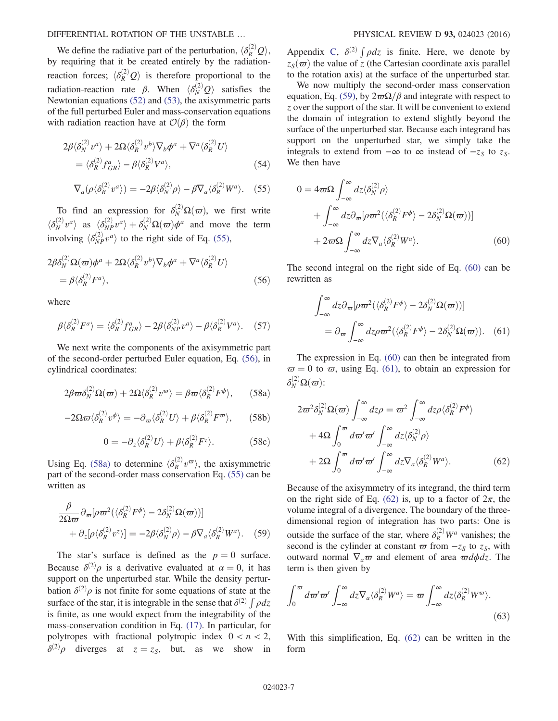We define the radiative part of the perturbation,  $\langle \delta_R^{(2)} \mathcal{Q} \rangle$ , by requiring that it be created entirely by the radiationreaction forces;  $\langle \delta_R^{(2)} \mathcal{Q} \rangle$  is therefore proportional to the radiation-reaction rate β. When  $\langle \delta_N^{(2)} \mathcal{Q} \rangle$  satisfies the Newtonian equations (52) and (53) the axisymmetric parts Newtonian equations [\(52\)](#page-5-4) and [\(53\)](#page-5-5), the axisymmetric parts of the full perturbed Euler and mass-conservation equations with radiation reaction have at  $\mathcal{O}(\beta)$  the form

$$
2\beta \langle \delta_N^{(2)} v^a \rangle + 2\Omega \langle \delta_R^{(2)} v^b \rangle \nabla_b \phi^a + \nabla^a \langle \delta_R^{(2)} U \rangle
$$
  
=  $\langle \delta_R^{(2)} f_{GR}^a \rangle - \beta \langle \delta_R^{(2)} V^a \rangle,$  (54)

<span id="page-6-0"></span>
$$
\nabla_a(\rho \langle \delta_R^{(2)} v^a \rangle) = -2\beta \langle \delta_N^{(2)} \rho \rangle - \beta \nabla_a \langle \delta_R^{(2)} W^a \rangle. \quad (55)
$$

<span id="page-6-1"></span>To find an expression for  $\delta_N^{(2)} \Omega(\omega)$ , we first write  $\langle \delta_N^{(2)} v^a \rangle$  as  $\langle \delta_{NP}^{(2)} v^a \rangle + \delta_N^{(2)} \Omega(\varpi) \phi^a$  and move the term involving  $\langle \delta_{NP}^{(2)} v^a \rangle$  to the right side of Eq. [\(55\),](#page-6-0)

$$
2\beta \delta_N^{(2)} \Omega(\varpi) \phi^a + 2\Omega \langle \delta_R^{(2)} v^b \rangle \nabla_b \phi^a + \nabla^a \langle \delta_R^{(2)} U \rangle = \beta \langle \delta_R^{(2)} F^a \rangle,
$$
 (56)

<span id="page-6-8"></span>where

$$
\beta \langle \delta_R^{(2)} F^a \rangle = \langle \delta_R^{(2)} f^a_{GR} \rangle - 2\beta \langle \delta_{NP}^{(2)} v^a \rangle - \beta \langle \delta_R^{(2)} V^a \rangle. \tag{57}
$$

<span id="page-6-2"></span>We next write the components of the axisymmetric part of the second-order perturbed Euler equation, Eq. [\(56\),](#page-6-1) in cylindrical coordinates:

$$
2\beta \varpi \delta_N^{(2)} \Omega(\varpi) + 2\Omega \langle \delta_R^{(2)} v^{\varpi} \rangle = \beta \varpi \langle \delta_R^{(2)} F^{\phi} \rangle, \qquad (58a)
$$

$$
-2\Omega \varpi \langle \delta_R^{(2)} v^{\phi} \rangle = -\partial_{\varpi} \langle \delta_R^{(2)} U \rangle + \beta \langle \delta_R^{(2)} F^{\varpi} \rangle, \qquad (58b)
$$

$$
0 = -\partial_z \langle \delta_R^{(2)} U \rangle + \beta \langle \delta_R^{(2)} F^z \rangle. \tag{58c}
$$

<span id="page-6-3"></span>Using Eq. [\(58a\)](#page-6-2) to determine  $\langle \delta_R^{(2)} v^{\varpi} \rangle$ , the axisymmetric part of the second-order mass conservation Eq. (55) can be part of the second-order mass conservation Eq. [\(55\)](#page-6-0) can be written as

$$
\frac{\beta}{2\Omega\omega}\partial_{\omega}[\rho\omega^{2}(\langle\delta_{R}^{(2)}F^{\phi}\rangle - 2\delta_{N}^{(2)}\Omega(\omega))]
$$

$$
+ \partial_{z}[\rho\langle\delta_{R}^{(2)}v^{z}\rangle] = -2\beta\langle\delta_{N}^{(2)}\rho\rangle - \beta\nabla_{a}\langle\delta_{R}^{(2)}W^{a}\rangle. \quad (59)
$$

The star's surface is defined as the  $p = 0$  surface. Because  $\delta^{(2)}\rho$  is a derivative evaluated at  $\alpha = 0$ , it has support on the unperturbed star. While the density pertursupport on the unperturbed star. While the density perturbation  $\delta^{(2)}\rho$  is not finite for some equations of state at the surface of the star, it is integrable in the sense that  $\delta^{(2)} \int \rho dz$ is finite, as one would expect from the integrability of the mass-conservation condition in Eq. [\(17\).](#page-2-6) In particular, for polytropes with fractional polytropic index  $0 < n < 2$ ,  $\delta^{(2)}\rho$  diverges at  $z = z_s$ , but, as we show in

Appendix [C](#page-17-0),  $\delta^{(2)} \int \rho dz$  is finite. Here, we denote by  $z_{\rm s}(\varpi)$  the value of z (the Cartesian coordinate axis parallel to the rotation axis) at the surface of the unperturbed star.

We now multiply the second-order mass conservation equation, Eq. [\(59\),](#page-6-3) by  $2\varpi\Omega/\beta$  and integrate with respect to z over the support of the star. It will be convenient to extend the domain of integration to extend slightly beyond the surface of the unperturbed star. Because each integrand has support on the unperturbed star, we simply take the integrals to extend from  $-\infty$  to  $\infty$  instead of  $-z_s$  to  $z_s$ . We then have

<span id="page-6-4"></span>
$$
0 = 4\varpi\Omega \int_{-\infty}^{\infty} dz \langle \delta_N^{(2)} \rho \rangle
$$
  
+ 
$$
\int_{-\infty}^{\infty} dz \partial_{\varpi} [\rho \varpi^2 (\langle \delta_R^{(2)} F^{\phi} \rangle - 2\delta_N^{(2)} \Omega(\varpi))]
$$
  
+ 
$$
2\varpi\Omega \int_{-\infty}^{\infty} dz \nabla_a \langle \delta_R^{(2)} W^a \rangle.
$$
 (60)

<span id="page-6-5"></span>The second integral on the right side of Eq. [\(60\)](#page-6-4) can be rewritten as

$$
\int_{-\infty}^{\infty} dz \partial_{\varpi} [\rho \varpi^2 (\langle \delta_R^{(2)} F^{\phi} \rangle - 2 \delta_N^{(2)} \Omega(\varpi))]
$$
  
=  $\partial_{\varpi} \int_{-\infty}^{\infty} dz \rho \varpi^2 (\langle \delta_R^{(2)} F^{\phi} \rangle - 2 \delta_N^{(2)} \Omega(\varpi)).$  (61)

<span id="page-6-6"></span>The expression in Eq. [\(60\)](#page-6-4) can then be integrated from  $\overline{\omega} = 0$  to  $\overline{\omega}$ , using Eq. [\(61\),](#page-6-5) to obtain an expression for  $\delta_N^{(2)}\Omega(\varpi)$ :

$$
2\varpi^{2}\delta_{N}^{(2)}\Omega(\varpi)\int_{-\infty}^{\infty}dz\rho = \varpi^{2}\int_{-\infty}^{\infty}dz\rho\langle\delta_{R}^{(2)}F^{\phi}\rangle
$$

$$
+4\Omega\int_{0}^{\varpi}d\varpi'\varpi'\int_{-\infty}^{\infty}dz\langle\delta_{N}^{(2)}\rho\rangle
$$

$$
+2\Omega\int_{0}^{\varpi}d\varpi'\varpi'\int_{-\infty}^{\infty}dz\nabla_{a}\langle\delta_{R}^{(2)}W^{a}\rangle. \tag{62}
$$

Because of the axisymmetry of its integrand, the third term on the right side of Eq. [\(62\)](#page-6-6) is, up to a factor of  $2\pi$ , the volume integral of a divergence. The boundary of the threedimensional region of integration has two parts: One is outside the surface of the star, where  $\delta_R^{(2)} W^a$  vanishes; the second is the cylinder at constant  $\varpi$  from  $-z_s$  to  $z_s$ , with outward normal  $\nabla_a \varpi$  and element of area  $\varpi d\phi dz$ . The term is then given by

<span id="page-6-9"></span>
$$
\int_0^{\varpi} d\varpi' \varpi' \int_{-\infty}^{\infty} dz \nabla_a \langle \delta_R^{(2)} W^a \rangle = \varpi \int_{-\infty}^{\infty} dz \langle \delta_R^{(2)} W^{\varpi} \rangle.
$$
\n(63)

<span id="page-6-7"></span>With this simplification, Eq. [\(62\)](#page-6-6) can be written in the form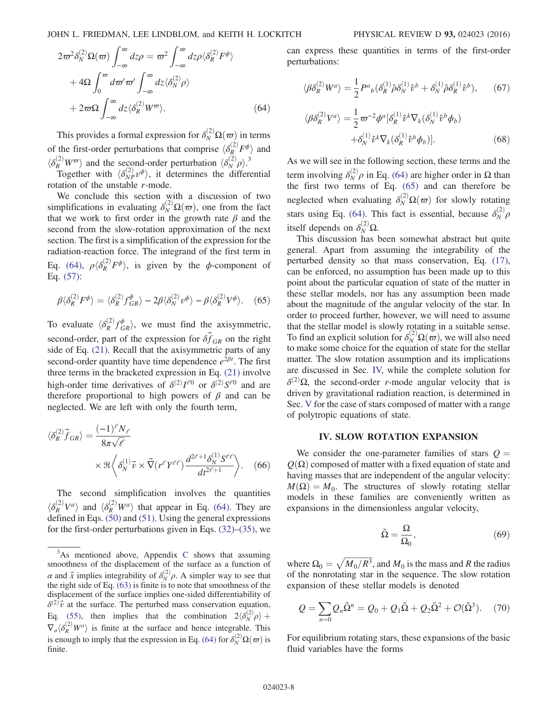$$
2\varpi^2 \delta_N^{(2)} \Omega(\varpi) \int_{-\infty}^{\infty} dz \rho = \varpi^2 \int_{-\infty}^{\infty} dz \rho \langle \delta_R^{(2)} F^{\phi} \rangle
$$
  
+ 
$$
4\Omega \int_0^{\varpi} d\varpi' \varpi' \int_{-\infty}^{\infty} dz \langle \delta_N^{(2)} \rho \rangle
$$
  
+ 
$$
2\varpi \Omega \int_{-\infty}^{\infty} dz \langle \delta_R^{(2)} W^{\varpi} \rangle.
$$
 (64)

This provides a formal expression for  $\delta_N^{(2)} \Omega(\omega)$  in terms of the first-order perturbations that comprise  $\langle \delta_R^{(2)} F^{\phi} \rangle$  and  $\langle \delta_R^{(2)} F^{\phi} \rangle$  and  $\langle \delta_R^{(2)} W^{\varpi} \rangle$  and the second-order perturbation  $\langle \delta_N^{(2)} \rho \rangle$ .<sup>3</sup><br>Together with  $\langle \delta_{\alpha}^{(2)} \psi \rangle$  it determines the different

Together with  $\langle \delta_{NP}^{(2)} v^{\phi} \rangle$ , it determines the differential rotation of the unstable r-mode.

We conclude this section with a discussion of two simplifications in evaluating  $\delta_N^{(2)} \Omega(\omega)$ , one from the fact<br>that we work to first order in the growth rate  $\beta$  and the that we work to first order in the growth rate  $\beta$  and the second from the slow-rotation approximation of the next section. The first is a simplification of the expression for the radiation-reaction force. The integrand of the first term in Eq. [\(64\),](#page-6-7)  $\rho \langle \delta_R^{(2)} F^{\phi} \rangle$ , is given by the  $\phi$ -component of Eq. [\(57\)](#page-6-8):

<span id="page-7-1"></span>
$$
\beta \langle \delta_R^{(2)} F^{\phi} \rangle = \langle \delta_R^{(2)} f_{GR}^{\phi} \rangle - 2\beta \langle \delta_N^{(2)} v^{\phi} \rangle - \beta \langle \delta_R^{(2)} V^{\phi} \rangle. \tag{65}
$$

To evaluate  $\langle \delta_R^{(2)} f_{GR}^{\phi} \rangle$ , we must find the axisymmetric, second-order, part of the expression for  $\delta f_{GR}$  on the right side of Eq. [\(21\)](#page-3-0). Recall that the axisymmetric parts of any second-order quantity have time dependence  $e^{2\beta t}$ . The first three terms in the bracketed expression in Eq. [\(21\)](#page-3-0) involve high-order time derivatives of  $\delta^{(2)}I^{\ell 0}$  or  $\delta^{(2)}S^{\ell 0}$  and are therefore proportional to high powers of  $\beta$  and can be neglected. We are left with only the fourth term,

<span id="page-7-2"></span>
$$
\langle \delta_R^{(2)} \vec{f}_{GR} \rangle = \frac{(-1)^\ell N_\ell}{8\pi\sqrt{\ell}} \times \Re \langle \delta_N^{(1)} \vec{v} \times \vec{\nabla} (r^\ell Y^{\ell\ell}) \frac{d^{2\ell+1} \delta_N^{(1)} S^{\ell\ell}}{dt^{2\ell+1}} \rangle. \tag{66}
$$

The second simplification involves the quantities  $\langle \delta_R^{(2)} V^a \rangle$  and  $\langle \delta_R^{(2)} W^a \rangle$  that appear in Eq. [\(64\).](#page-6-7) They are defined in Eqs. (50) and (51). Hence the general expressions defined in Eqs. [\(50\)](#page-5-6) and [\(51\).](#page-5-7) Using the general expressions for the first-order perturbations given in Eqs. [\(32\)](#page-3-3)–[\(35\),](#page-3-4) we can express these quantities in terms of the first-order perturbations:

$$
\langle \beta \delta_R^{(2)} W^a \rangle = \frac{1}{2} P^a{}_b \big( \delta_R^{(1)} \hat{\rho} \delta_N^{(1)} \hat{v}^b + \delta_N^{(1)} \hat{\rho} \delta_R^{(1)} \hat{v}^b \big), \qquad (67)
$$

$$
\langle \beta \delta_R^{(2)} V^a \rangle = \frac{1}{2} \varpi^{-2} \phi^a [\delta_R^{(1)} \hat{v}^k \nabla_k (\delta_N^{(1)} \hat{v}^b \phi_b) + \delta_N^{(1)} \hat{v}^k \nabla_k (\delta_R^{(1)} \hat{v}^b \phi_b)].
$$
\n(68)

As we will see in the following section, these terms and the term involving  $\delta_N^{(2)} \rho$  in Eq. [\(64\)](#page-6-7) are higher order in  $\Omega$  than the first two terms of Eq. [\(65\)](#page-7-1) and can therefore be neglected when evaluating  $\delta_N^{(2)} \Omega(\varpi)$  for slowly rotating stars using Eq. [\(64\).](#page-6-7) This fact is essential, because  $\delta_N^{(2)} \rho$ itself depends on  $\delta_N^{(2)}\Omega$ .

This discussion has been somewhat abstract but quite general. Apart from assuming the integrability of the perturbed density so that mass conservation, Eq. [\(17\)](#page-2-6), can be enforced, no assumption has been made up to this point about the particular equation of state of the matter in these stellar models, nor has any assumption been made about the magnitude of the angular velocity of the star. In order to proceed further, however, we will need to assume that the stellar model is slowly rotating in a suitable sense. To find an explicit solution for  $\delta_N^{(2)} \Omega(\vec{\omega})$ , we will also need<br>to make some choice for the equation of state for the stellar to make some choice for the equation of state for the stellar matter. The slow rotation assumption and its implications are discussed in Sec. [IV,](#page-7-0) while the complete solution for  $\delta^{(2)}\Omega$ , the second-order *r*-mode angular velocity that is driven by gravitational radiation reaction, is determined in Sec. [V](#page-13-0) for the case of stars composed of matter with a range of polytropic equations of state.

#### IV. SLOW ROTATION EXPANSION

<span id="page-7-0"></span>We consider the one-parameter families of stars  $Q =$  $Q(\Omega)$  composed of matter with a fixed equation of state and having masses that are independent of the angular velocity:  $M(\Omega) = M_0$ . The structures of slowly rotating stellar models in these families are conveniently written as expansions in the dimensionless angular velocity,

$$
\tilde{\Omega} = \frac{\Omega}{\Omega_0},\tag{69}
$$

<span id="page-7-3"></span>where  $\Omega_0 = \sqrt{M_0/R^3}$ , and  $M_0$  is the mass and R the radius of the nonrotating star in the sequence. The slow rotation of the nonrotating star in the sequence. The slow rotation expansion of these stellar models is denoted

$$
Q = \sum_{n=0} Q_n \tilde{\Omega}^n = Q_0 + Q_1 \tilde{\Omega} + Q_2 \tilde{\Omega}^2 + \mathcal{O}(\tilde{\Omega}^3).
$$
 (70)

For equilibrium rotating stars, these expansions of the basic fluid variables have the forms

 $3$ As mentioned above, Appendix [C](#page-17-0) shows that assuming smoothness of the displacement of the surface as a function of  $\alpha$  and  $\vec{x}$  implies integrability of  $\delta_N^{(2)} \rho$ . A simpler way to see that the right side of Eq. [\(63\)](#page-6-9) is finite is to note that smoothness of the displacement of the surface implies one-sided differentiability of  $\delta^{(2)}\vec{v}$  at the surface. The perturbed mass conservation equation, Eq. [\(55\),](#page-6-0) then implies that the combination  $2\langle \delta_N^{(2)} \rho \rangle$  +  $\nabla/\langle \delta_N^{(2)} \rangle$  is finite at the surface and hence integrable. This  $\nabla_a \langle \delta_R^{(2)} W^a \rangle$  is finite at the surface and hence integrable. This is enough to imply that the expression in Eq. [\(64\)](#page-6-7) for  $\delta_N^{(2)} \Omega(\omega)$  is finite. finite.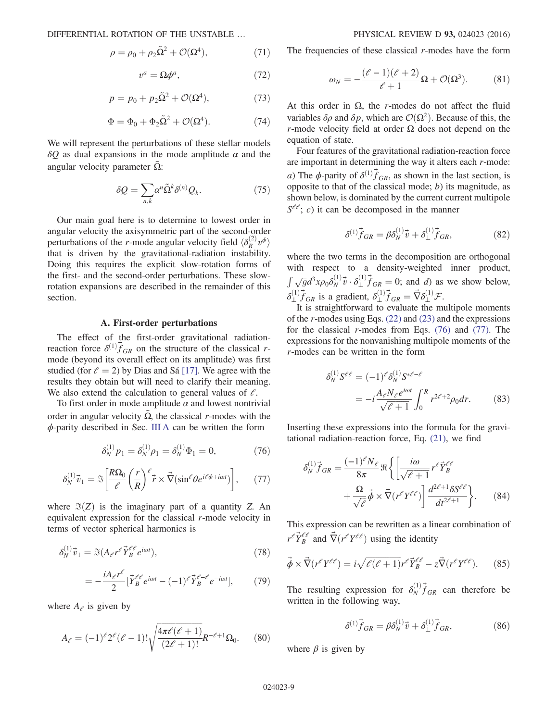$$
\rho = \rho_0 + \rho_2 \tilde{\Omega}^2 + \mathcal{O}(\Omega^4),\tag{71}
$$

$$
v^a = \Omega \phi^a, \tag{72}
$$

$$
p = p_0 + p_2 \tilde{\Omega}^2 + \mathcal{O}(\Omega^4),\tag{73}
$$

$$
\Phi = \Phi_0 + \Phi_2 \tilde{\Omega}^2 + \mathcal{O}(\Omega^4). \tag{74}
$$

We will represent the perturbations of these stellar models  $\delta Q$  as dual expansions in the mode amplitude  $\alpha$  and the angular velocity parameter  $Ω$ :

$$
\delta Q = \sum_{n,k} \alpha^n \tilde{\Omega}^k \delta^{(n)} Q_k. \tag{75}
$$

Our main goal here is to determine to lowest order in angular velocity the axisymmetric part of the second-order perturbations of the r-mode angular velocity field  $\langle \delta_R^{(2)} v^{\phi} \rangle$ <br>that is driven by the gravitational-radiation instability that is driven by the gravitational-radiation instability. Doing this requires the explicit slow-rotation forms of the first- and the second-order perturbations. These slowrotation expansions are described in the remainder of this section.

#### A. First-order perturbations

<span id="page-8-7"></span>The effect of the first-order gravitational radiationreaction force  $\delta^{(1)} \vec{f}_{GR}$  on the structure of the classical rmode (beyond its overall effect on its amplitude) was first studied (for  $\ell = 2$ ) by Dias and Sá [\[17\].](#page-19-17) We agree with the results they obtain but will need to clarify their meaning. We also extend the calculation to general values of  $\ell$ .

<span id="page-8-0"></span>To first order in mode amplitude  $\alpha$  and lowest nontrivial order in angular velocity  $\Omega$ , the classical r-modes with the  $\phi$ -parity described in Sec. [III A](#page-3-5) can be written the form

$$
\delta_N^{(1)} p_1 = \delta_N^{(1)} \rho_1 = \delta_N^{(1)} \Phi_1 = 0, \tag{76}
$$

<span id="page-8-1"></span>
$$
\delta_N^{(1)} \vec{v}_1 = \Im \left[ \frac{R \Omega_0}{\ell} \left( \frac{r}{R} \right)^{\ell} \vec{r} \times \vec{\nabla} (\sin^{\ell} \theta e^{i\ell \phi + i\omega t}) \right], \qquad (77)
$$

where  $\Im(Z)$  is the imaginary part of a quantity Z. An equivalent expression for the classical r-mode velocity in terms of vector spherical harmonics is

$$
\delta_N^{(1)} \vec{v}_1 = \Im(A_\ell r^\ell \vec{Y}_B^{\ell\ell} e^{i\omega t}),\tag{78}
$$

$$
=-\frac{iA_{\ell}r^{\ell}}{2}\left[\vec{Y}_{B}^{\ell\ell}e^{i\omega t}-(-1)^{\ell}\vec{Y}_{B}^{\ell-\ell}e^{-i\omega t}\right],\qquad(79)
$$

where  $A_{\ell}$  is given by

$$
A_{\ell} = (-1)^{\ell} 2^{\ell} (\ell - 1)! \sqrt{\frac{4\pi \ell (\ell + 1)}{(2\ell + 1)!}} R^{-\ell + 1} \Omega_0.
$$
 (80)

<span id="page-8-5"></span>The frequencies of these classical r-modes have the form

$$
\omega_N = -\frac{(\ell-1)(\ell+2)}{\ell+1}\Omega + \mathcal{O}(\Omega^3). \tag{81}
$$

At this order in  $\Omega$ , the r-modes do not affect the fluid variables  $\delta \rho$  and  $\delta p$ , which are  $\mathcal{O}(\Omega^2)$ . Because of this, the r-mode velocity field at order  $\Omega$  does not depend on the equation of state.

<span id="page-8-3"></span>Four features of the gravitational radiation-reaction force are important in determining the way it alters each r-mode: a) The  $\phi$ -parity of  $\delta^{(1)}\vec{f}_{GR}$ , as shown in the last section, is opposite to that of the classical mode;  $b$ ) its magnitude, as shown below, is dominated by the current current multipole  $S^{\ell\ell}; c$  it can be decomposed in the manner

$$
\delta^{(1)}\vec{f}_{GR} = \beta \delta_N^{(1)} \vec{v} + \delta_\perp^{(1)} \vec{f}_{GR},\tag{82}
$$

where the two terms in the decomposition are orthogonal with respect to a density-weighted inner product,  $\int \sqrt{g} d^3x \rho_0 \delta_N^{(1)} \vec{v} \cdot \delta_{\perp}^{(1)} \vec{f}_{GR} = 0$ ; and d) as we show below,  $\delta_{\perp}^{(1)} \vec{f}_{GR}$  is a gradient,  $\delta_{\perp}^{(1)} \vec{f}_{GR} = \vec{\nabla} \delta_{\perp}^{(1)} \mathcal{F}$ .<br>It is straightforward to evaluate the min

<span id="page-8-6"></span>It is straightforward to evaluate the multipole moments of the r-modes using Eqs. [\(22\)](#page-3-6) and [\(23\)](#page-3-7) and the expressions for the classical  $r$ -modes from Eqs. [\(76\)](#page-8-0) and [\(77\)](#page-8-1). The expressions for the nonvanishing multipole moments of the r-modes can be written in the form

$$
\delta_N^{(1)} S^{\ell\ell} = (-1)^{\ell} \delta_N^{(1)} S^{*\ell - \ell}
$$

$$
= -i \frac{A_{\ell} N_{\ell} e^{i\omega t}}{\sqrt{\ell + 1}} \int_0^R r^{2\ell + 2} \rho_0 dr. \tag{83}
$$

Inserting these expressions into the formula for the gravitational radiation-reaction force, Eq. [\(21\)](#page-3-0), we find

$$
\delta_N^{(1)} \vec{f}_{GR} = \frac{(-1)^\ell N_\ell}{8\pi} \Re \left\{ \left[ \frac{i\omega}{\sqrt{\ell+1}} r^\ell \vec{Y}_B^{\ell\ell} + \frac{\Omega}{\sqrt{\ell}} \vec{\phi} \times \vec{\nabla} (r^\ell Y^{\ell\ell}) \right] \frac{d^{2\ell+1} \delta S^{\ell\ell}}{dt^{2\ell+1}} \right\}.
$$
 (84)

This expression can be rewritten as a linear combination of  $r^{\ell} \vec{Y}_{B}^{\ell\ell}$  and  $\vec{\nabla}(r^{\ell}Y^{\ell\ell})$  using the identity

$$
\vec{\phi} \times \vec{\nabla} (r^{\ell} Y^{\ell \ell}) = i \sqrt{\ell (\ell + 1)} r^{\ell} \vec{Y}_{B}^{\ell \ell} - z \vec{\nabla} (r^{\ell} Y^{\ell \ell}). \tag{85}
$$

<span id="page-8-2"></span>The resulting expression for  $\delta_N^{(1)} \vec{f}_{GR}$  can therefore be written in the following way,

$$
\delta^{(1)} \vec{f}_{GR} = \beta \delta_N^{(1)} \vec{v} + \delta_\perp^{(1)} \vec{f}_{GR}, \tag{86}
$$

<span id="page-8-4"></span>where  $\beta$  is given by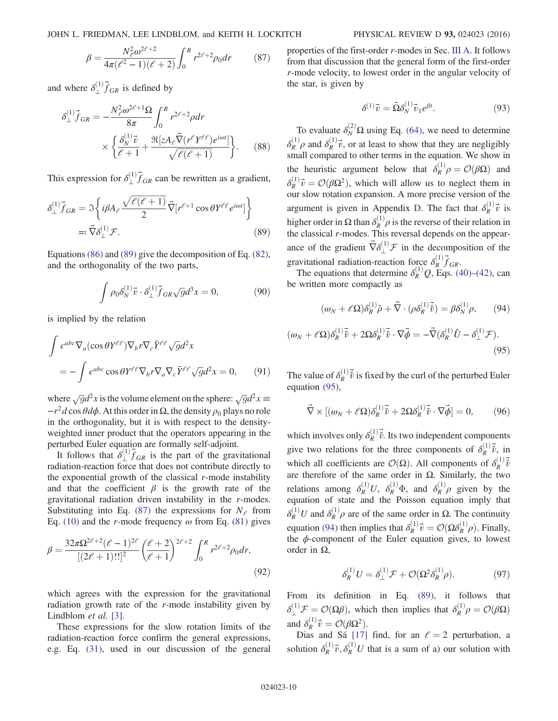JOHN L. FRIEDMAN, LEE LINDBLOM, and KEITH H. LOCKITCH PHYSICAL REVIEW D 93, 024023 (2016)

$$
\beta = \frac{N_{\ell}^2 \omega^{2\ell+2}}{4\pi (\ell^2 - 1)(\ell + 2)} \int_0^R r^{2\ell+2} \rho_0 dr \qquad (87)
$$

and where  $\delta_{\perp}^{(1)} \vec{f}_{GR}$  is defined by

$$
\delta_{\perp}^{(1)} \vec{f}_{GR} = -\frac{N_{\ell}^2 \omega^{2\ell+1} \Omega}{8\pi} \int_0^R r^{2\ell+2} \rho dr
$$

$$
\times \left\{ \frac{\delta_N^{(1)} \vec{v}}{\ell+1} + \frac{\Re[zA_{\ell} \vec{\nabla}(r^{\ell} Y^{\ell\ell}) e^{i\omega t}]}{\sqrt{\ell(\ell+1)}} \right\}.
$$
(88)

<span id="page-9-0"></span>This expression for  $\delta_{\perp}^{(1)} \vec{f}_{GR}$  can be rewritten as a gradient,

$$
\delta_{\perp}^{(1)} \vec{f}_{GR} = \Im \left\{ i \beta A_{\ell} \frac{\sqrt{\ell(\ell+1)}}{2} \vec{\nabla} [r^{\ell+1} \cos \theta Y^{\ell \ell} e^{i\omega t}] \right\}
$$

$$
= \vec{\nabla} \delta_{\perp}^{(1)} \mathcal{F}.
$$
(89)

Equations [\(86\)](#page-8-2) and [\(89\)](#page-9-0) give the decomposition of Eq. [\(82\)](#page-8-3), and the orthogonality of the two parts,

$$
\int \rho_0 \delta_N^{(1)} \vec{v} \cdot \delta_\perp^{(1)} \vec{f}_{GR} \sqrt{g} d^3 x = 0, \tag{90}
$$

is implied by the relation

$$
\int \epsilon^{abc} \nabla_a (\cos \theta Y^{\ell\ell}) \nabla_b r \nabla_c \bar{Y}^{\ell\ell} \sqrt{g} d^2 x
$$
  
= 
$$
- \int \epsilon^{abc} \cos \theta Y^{\ell\ell} \nabla_b r \nabla_a \nabla_c \bar{Y}^{\ell\ell} \sqrt{g} d^2 x = 0,
$$
 (91)

where  $\sqrt{g}d^2x$  is the volume element on the sphere:  $\sqrt{g}d^2x \equiv$  $-r^2d\cos\theta d\phi$ . At this order in  $\Omega$ , the density  $\rho_0$  plays no role in the orthogonality, but it is with respect to the densityweighted inner product that the operators appearing in the perturbed Euler equation are formally self-adjoint.

It follows that  $\delta_{\perp}^{(1)}$   $\vec{f}_{GR}$  is the part of the gravitational radiation-reaction force that does not contribute directly to the exponential growth of the classical  $r$ -mode instability and that the coefficient  $\beta$  is the growth rate of the gravitational radiation driven instability in the r-modes. Substituting into Eq. [\(87\)](#page-8-4) the expressions for  $N_e$  from Eq. [\(10\)](#page-2-7) and the r-mode frequency  $\omega$  from Eq. [\(81\)](#page-8-5) gives

$$
\beta = \frac{32\pi\Omega^{2\ell+2}(\ell-1)^{2\ell}}{[(2\ell+1)!!]^2} \left(\frac{\ell+2}{\ell+1}\right)^{2\ell+2} \int_0^R r^{2\ell+2} \rho_0 dr,\tag{92}
$$

which agrees with the expression for the gravitational radiation growth rate of the  $r$ -mode instability given by Lindblom et al. [\[3\]](#page-19-1).

These expressions for the slow rotation limits of the radiation-reaction force confirm the general expressions, e.g. Eq. [\(31\),](#page-3-8) used in our discussion of the general properties of the first-order r-modes in Sec. [III A.](#page-3-5) It follows from that discussion that the general form of the first-order r-mode velocity, to lowest order in the angular velocity of the star, is given by

$$
\delta^{(1)}\vec{v} = \tilde{\Omega}\delta_N^{(1)}\vec{v}_1e^{\beta t}.\tag{93}
$$

To evaluate  $\delta_N^{(2)} \Omega$  using Eq. [\(64\)](#page-6-7), we need to determine  $\delta_R^{(1)}$   $\rho$  and  $\delta_R^{(1)}$   $\vec{v}$ , or at least to show that they are negligibly small compared to other terms in the equation. We show in the heuristic argument below that  $\delta_R^{(1)} \rho = \mathcal{O}(\beta \Omega)$  and  $\delta_R^{(1)} \vec{v} = \mathcal{O}(\beta \Omega^2)$ , which will allow us to neglect them in our slow rotation expansion. A more precise version of the our slow rotation expansion. A more precise version of the argument is given in Appendix [D.](#page-18-0) The fact that  $\delta_R^{(1)} \vec{v}$  is higher order in  $\Omega$  than  $\delta_R^{(1)} \rho$  is the reverse of their relation in the classical r-modes. This reversal depends on the appearance of the gradient  $\vec{\nabla} \delta_{\perp}^{(1)} \mathcal{F}$  in the decomposition of the gravitational radiation-reaction force  $\delta_R^{(1)} \vec{f}_{GR}$ .

<span id="page-9-2"></span>The equations that determine  $\delta_R^{(1)}Q$ , Eqs. [\(40\)](#page-4-0)–[\(42\),](#page-4-1) can be written more compactly as

$$
(\omega_N + \ell \Omega) \delta_R^{(1)} \hat{\rho} + \vec{\nabla} \cdot (\rho \delta_R^{(1)} \vec{\hat{v}}) = \beta \delta_N^{(1)} \rho, \qquad (94)
$$

<span id="page-9-1"></span>
$$
(\omega_N + \ell \Omega) \delta_R^{(1)} \vec{\hat{v}} + 2\Omega \delta_R^{(1)} \vec{\hat{v}} \cdot \nabla \vec{\phi} = -\vec{\nabla} (\delta_R^{(1)} \hat{U} - \delta_\perp^{(1)} \mathcal{F}).
$$
\n(95)

The value of  $\delta_R^{(1)} \vec{\hat{v}}$  is fixed by the curl of the perturbed Euler equation [\(95\),](#page-9-1)

$$
\vec{\nabla} \times [(\omega_N + \ell \Omega) \delta_R^{(1)} \vec{\hat{v}} + 2\Omega \delta_R^{(1)} \vec{\hat{v}} \cdot \nabla \vec{\phi}] = 0, \qquad (96)
$$

which involves only  $\delta_R^{(1)} \vec{\hat{v}}$ . Its two independent components give two relations for the three components of  $\delta_R^{(1)} \vec{\hat{v}}$ , in which all coefficients are  $\mathcal{O}(\Omega)$ . All components of  $\delta_R^{(1)} \hat{i}$ <br>are therefore of the same order in O. Similarly, the two are therefore of the same order in  $Ω$ . Similarly, the two relations among  $\delta_R^{(1)}U$ ,  $\delta_R^{(1)}\Phi$ , and  $\delta_R^{(1)}\rho$  given by the equation of state and the Poisson equation imply that  $\delta_R^{(1)} U$  and  $\delta_R^{(1)} \rho$  are of the same order in  $\Omega$ . The continuity equation [\(94\)](#page-9-2) then implies that  $\delta_R^{(1)} \vec{v} = \mathcal{O}(\Omega \delta_R^{(1)} \rho)$ . Finally,<br>the *d*-component of the Fuler equation gives to lowest the  $\phi$ -component of the Euler equation gives, to lowest order in Ω,

$$
\delta_R^{(1)} U = \delta_\perp^{(1)} \mathcal{F} + \mathcal{O}(\Omega^2 \delta_R^{(1)} \rho). \tag{97}
$$

<span id="page-9-3"></span>From its definition in Eq. [\(89\),](#page-9-0) it follows that  $\delta_{\perp}^{(1)}$   $\mathcal{F} = \mathcal{O}(\Omega \beta)$ , which then implies that  $\delta_R^{(1)} \rho = \mathcal{O}(\beta \Omega)$ and  $\delta_R^{(1)} \vec{v} = \mathcal{O}(\beta \Omega^2)$ .<br>Dias and Sá [17]

Dias and Sa [\[17\]](#page-19-17) find, for an  $\ell = 2$  perturbation, a solution  $\delta_R^{(1)} \vec{v}$ ,  $\delta_R^{(1)} U$  that is a sum of a) our solution with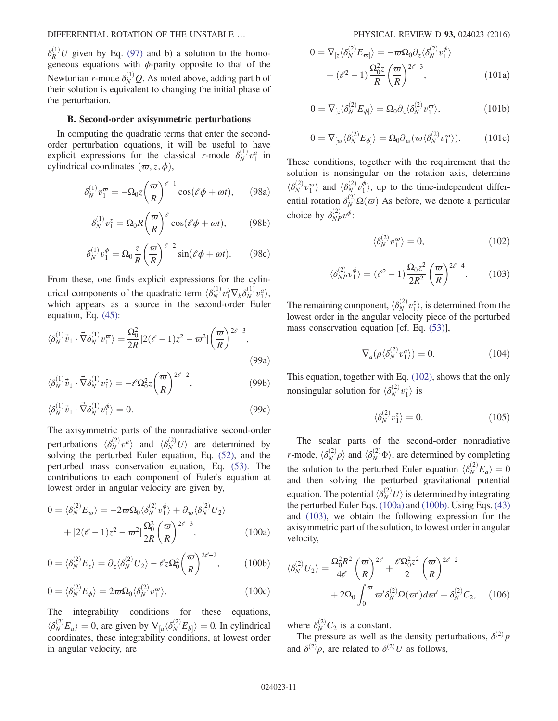$\delta_R^{(1)}U$  given by Eq. [\(97\)](#page-9-3) and b) a solution to the homogeneous equations with  $\phi$ -parity opposite to that of the Newtonian *r*-mode  $\delta_N^{(1)}Q$ . As noted above, adding part b of their solution is equivalent to changing the initial phase of the perturbation.

#### B. Second-order axisymmetric perturbations

<span id="page-10-5"></span>In computing the quadratic terms that enter the secondorder perturbation equations, it will be useful to have explicit expressions for the classical *r*-mode  $\delta_N^{(1)} v_1^a$  in cylindrical coordinates  $(\varpi, z, \phi)$ ,

$$
\delta_N^{(1)} v_1^{\varpi} = -\Omega_0 z \left(\frac{\varpi}{R}\right)^{\ell-1} \cos(\ell \phi + \omega t), \qquad (98a)
$$

$$
\delta_N^{(1)} v_1^z = \Omega_0 R \left(\frac{\varpi}{R}\right)^{\ell} \cos(\ell \phi + \omega t),\tag{98b}
$$

$$
\delta_N^{(1)} v_1^{\phi} = \Omega_0 \frac{z}{R} \left(\frac{\varpi}{R}\right)^{\ell-2} \sin(\ell \phi + \omega t). \tag{98c}
$$

From these, one finds explicit expressions for the cylindrical components of the quadratic term  $\langle \delta_N^{(1)} v_1^b \nabla_b \delta_N^{(1)} v_1^a \rangle$ ,<br>which appears as a source in the second-order Fuler which appears as a source in the second-order Euler equation, Eq. [\(45\)](#page-5-0):

$$
\langle \delta_N^{(1)} \vec{v}_1 \cdot \vec{\nabla} \delta_N^{(1)} v_1^{\varpi} \rangle = \frac{\Omega_0^2}{2R} [2(\ell - 1)z^2 - \varpi^2] \left(\frac{\varpi}{R}\right)^{2\ell - 3},\tag{99a}
$$

$$
\langle \delta_N^{(1)} \vec{v}_1 \cdot \vec{\nabla} \delta_N^{(1)} v_1^z \rangle = -\ell \Omega_0^2 z \left(\frac{\varpi}{R}\right)^{2\ell - 2},\tag{99b}
$$

$$
\langle \delta_N^{(1)} \vec{v}_1 \cdot \vec{\nabla} \delta_N^{(1)} v_1^{\phi} \rangle = 0. \tag{99c}
$$

The axisymmetric parts of the nonradiative second-order perturbations  $\langle \delta_N^{(2)} v^a \rangle$  and  $\langle \delta_N^{(2)} U \rangle$  are determined by<br>solving the perturbed Euler equation Eq. (52) and the solving the perturbed Euler equation, Eq. [\(52\),](#page-5-4) and the perturbed mass conservation equation, Eq. [\(53\)](#page-5-5). The contributions to each component of Euler's equation at lowest order in angular velocity are given by,

<span id="page-10-1"></span>
$$
0 = \langle \delta_N^{(2)} E_{\varpi} \rangle = -2\varpi \Omega_0 \langle \delta_N^{(2)} v_1^{\phi} \rangle + \partial_{\varpi} \langle \delta_N^{(2)} U_2 \rangle
$$
  
+ 
$$
[2(\ell - 1)z^2 - \varpi^2] \frac{\Omega_0^2}{2R} \left( \frac{\varpi}{R} \right)^{2\ell - 3},
$$
(100a)

<span id="page-10-2"></span>
$$
0 = \langle \delta_N^{(2)} E_z \rangle = \partial_z \langle \delta_N^{(2)} U_2 \rangle - \ell z \Omega_0^2 \left(\frac{\varpi}{R}\right)^{2\ell - 2}, \quad (100b)
$$

$$
0 = \langle \delta_N^{(2)} E_{\phi} \rangle = 2 \varpi \Omega_0 \langle \delta_N^{(2)} v_1^{\varpi} \rangle. \tag{100c}
$$

The integrability conditions for these equations,  $\langle \delta_N^{(2)} E_a \rangle = 0$ , are given by  $\nabla_{[a} \langle \delta_N^{(2)} E_{b]} \rangle = 0$ . In cylindrical coordinates, these integrability conditions, at lowest order in angular velocity, are

$$
0 = \nabla_{[z} \langle \delta_N^{(2)} E_{\varpi]} \rangle = -\varpi \Omega_0 \partial_z \langle \delta_N^{(2)} v_1^{\phi} \rangle
$$
  
+ 
$$
(\ell^2 - 1) \frac{\Omega_0^2 z}{R} \left( \frac{\varpi}{R} \right)^{2\ell - 3},
$$
 (101a)

$$
0 = \nabla_{[z} \langle \delta_N^{(2)} E_{\phi]} \rangle = \Omega_0 \partial_z \langle \delta_N^{(2)} v_1^{\pi} \rangle, \tag{101b}
$$

$$
0 = \nabla_{[\varpi} \langle \delta_N^{(2)} E_{\phi]} \rangle = \Omega_0 \partial_{\varpi} (\varpi \langle \delta_N^{(2)} v_1^{\varpi} \rangle). \tag{101c}
$$

<span id="page-10-0"></span>These conditions, together with the requirement that the solution is nonsingular on the rotation axis, determine  $\langle \delta_N^{(2)} v_1^{\varpi} \rangle$  and  $\langle \delta_N^{(2)} v_1^{\varphi} \rangle$ , up to the time-independent differential rotation  $\delta_N^{(2)} \Omega(\varpi)$  As before, we denote a particular choice by  $\delta_{NP}^{(2)}v^{\phi}$ :

$$
\langle \delta_N^{(2)} v_1^{\varpi} \rangle = 0, \tag{102}
$$

<span id="page-10-3"></span>
$$
\langle \delta_{NP}^{(2)} v_1^{\phi} \rangle = (\ell^2 - 1) \frac{\Omega_0 z^2}{2R^2} \left(\frac{\varpi}{R}\right)^{2\ell - 4}.
$$
 (103)

The remaining component,  $\langle \delta_N^{(2)} v_1^2 \rangle$ , is determined from the lowest order in the angular velocity piece of the perturbed lowest order in the angular velocity piece of the perturbed mass conservation equation [cf. Eq. [\(53\)](#page-5-5)],

$$
\nabla_a(\rho \langle \delta_N^{(2)} v_1^a \rangle) = 0. \tag{104}
$$

This equation, together with Eq. [\(102\)](#page-10-0), shows that the only nonsingular solution for  $\langle \delta_N^{(2)} v_1^z \rangle$  is

$$
\langle \delta_N^{(2)} v_1^z \rangle = 0. \tag{105}
$$

The scalar parts of the second-order nonradiative *r*-mode,  $\langle \delta_N^{(2)} \rho \rangle$  and  $\langle \delta_N^{(2)} \Phi \rangle$ , are determined by completing the solution to the perturbed Euler equation  $\langle \delta_N^{(2)} E_a \rangle = 0$ <br>and then solving the perturbed gravitational potential and then solving the perturbed gravitational potential equation. The potential  $\langle \delta_N^{(2)} U \rangle$  is determined by integrating<br>the perturbed Euler Eqs. (100a) and (100b). Using Eqs. (43) the perturbed Euler Eqs. [\(100a\)](#page-10-1) and [\(100b\).](#page-10-2) Using Eqs. [\(43\)](#page-5-3) and [\(103\)](#page-10-3), we obtain the following expression for the axisymmetric part of the solution, to lowest order in angular velocity,

<span id="page-10-4"></span>
$$
\langle \delta_N^{(2)} U_2 \rangle = \frac{\Omega_0^2 R^2}{4\ell} \left(\frac{\varpi}{R}\right)^{2\ell} + \frac{\ell \Omega_0^2 z^2}{2} \left(\frac{\varpi}{R}\right)^{2\ell - 2} + 2\Omega_0 \int_0^{\varpi} \varpi' \delta_N^{(2)} \Omega(\varpi') d\varpi' + \delta_N^{(2)} C_2, \quad (106)
$$

<span id="page-10-6"></span>where  $\delta_N^{(2)} C_2$  is a constant.

The pressure as well as the density perturbations,  $\delta^{(2)} p$ and  $\delta^{(2)}\rho$ , are related to  $\delta^{(2)}U$  as follows,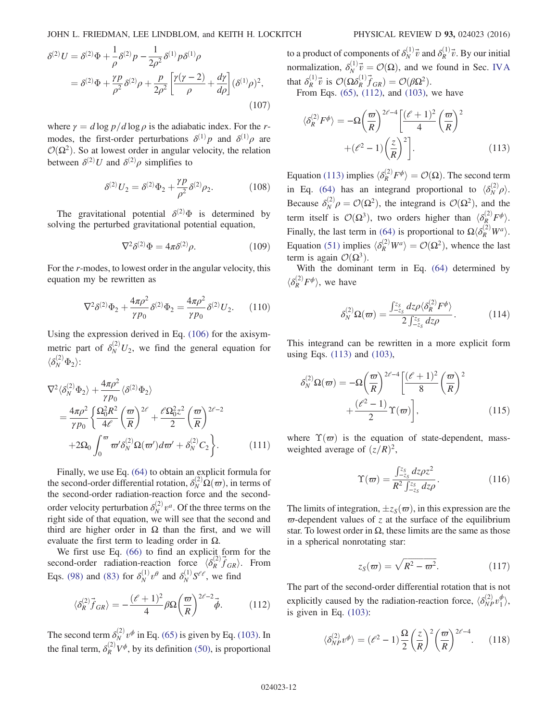$$
\delta^{(2)}U = \delta^{(2)}\Phi + \frac{1}{\rho}\delta^{(2)}\rho - \frac{1}{2\rho^2}\delta^{(1)}\rho\delta^{(1)}\rho
$$
  
=  $\delta^{(2)}\Phi + \frac{\gamma p}{\rho^2}\delta^{(2)}\rho + \frac{p}{2\rho^2}\left[\frac{\gamma(\gamma - 2)}{\rho} + \frac{d\gamma}{d\rho}\right](\delta^{(1)}\rho)^2,$  (107)

where  $\gamma = d \log p/d \log \rho$  is the adiabatic index. For the rmodes, the first-order perturbations  $\delta^{(1)} p$  and  $\delta^{(1)} \rho$  are  $\mathcal{O}(\Omega^2)$ . So at lowest order in angular velocity, the relation between  $\delta^{(2)}U$  and  $\delta^{(2)}\rho$  simplifies to

$$
\delta^{(2)}U_2 = \delta^{(2)}\Phi_2 + \frac{\gamma p}{\rho^2} \delta^{(2)}\rho_2.
$$
 (108)

The gravitational potential  $\delta^{(2)}\Phi$  is determined by solving the perturbed gravitational potential equation,

$$
\nabla^2 \delta^{(2)} \Phi = 4\pi \delta^{(2)} \rho. \tag{109}
$$

For the r-modes, to lowest order in the angular velocity, this equation my be rewritten as

$$
\nabla^2 \delta^{(2)} \Phi_2 + \frac{4\pi \rho^2}{\gamma p_0} \delta^{(2)} \Phi_2 = \frac{4\pi \rho^2}{\gamma p_0} \delta^{(2)} U_2.
$$
 (110)

Using the expression derived in Eq. [\(106\)](#page-10-4) for the axisymmetric part of  $\delta_N^{(2)} U_2$ , we find the general equation for  $\langle \delta_N^{(2)} \Phi_2 \rangle$ :

$$
\nabla^2 \langle \delta_N^{(2)} \Phi_2 \rangle + \frac{4\pi \rho^2}{\gamma p_0} \langle \delta^{(2)} \Phi_2 \rangle \n= \frac{4\pi \rho^2}{\gamma p_0} \left\{ \frac{\Omega_0^2 R^2}{4\ell} \left( \frac{\varpi}{R} \right)^{2\ell} + \frac{\ell \Omega_0^2 z^2}{2} \left( \frac{\varpi}{R} \right)^{2\ell - 2} \n+ 2\Omega_0 \int_0^\varpi \varpi' \delta_N^{(2)} \Omega(\varpi') d\varpi' + \delta_N^{(2)} C_2 \right\}.
$$
\n(111)

Finally, we use Eq. [\(64\)](#page-6-7) to obtain an explicit formula for the second-order differential rotation,  $\delta_N^{(2)} \Omega(\omega)$ , in terms of<br>the second-order radiation-reaction force and the secondthe second-order radiation-reaction force and the secondorder velocity perturbation  $\delta_N^{(2)} v^a$ . Of the three terms on the right side of that equation, we will see that the second and third are higher order in  $\Omega$  than the first, and we will evaluate the first term to leading order in  $\Omega$ .

<span id="page-11-0"></span>We first use Eq. [\(66\)](#page-7-2) to find an explicit form for the second-order radiation-reaction force  $\langle \delta_R^{(2)} \vec{f}_{GR} \rangle$ . From Eqs. [\(98\)](#page-10-5) and [\(83\)](#page-8-6) for  $\delta_N^{(1)} v^{\theta}$  and  $\delta_N^{(1)} S^{\ell\ell}$ , we find

$$
\langle \delta_R^{(2)} \vec{f}_{GR} \rangle = -\frac{(\ell+1)^2}{4} \beta \Omega \left( \frac{\varpi}{R} \right)^{2\ell-2} \vec{\phi}.
$$
 (112)

The second term  $\delta_N^{(2)} v^{\phi}$  in Eq. [\(65\)](#page-7-1) is given by Eq. [\(103\)](#page-10-3). In the final term,  $\delta_R^{(2)} V^{\phi}$ , by its definition [\(50\),](#page-5-6) is proportional to a product of components of  $\delta_N^{(1)} \vec{v}$  and  $\delta_R^{(1)} \vec{v}$ . By our initial normalization,  $\delta_N^{(1)} \vec{v} = \mathcal{O}(\Omega)$ , and we found in Sec. [IVA](#page-8-7) that  $\delta_R^{(1)} \vec{v}$  is  $\mathcal{O}(\Omega \delta_R^{(1)} \vec{f}_{GR}) = \mathcal{O}(\beta \Omega^2)$ .<br>From Eqs. [\(65\),](#page-7-1) [\(112\),](#page-11-0) and [\(103\)](#page-10-3), we have

<span id="page-11-1"></span>

$$
\langle \delta_R^{(2)} F^{\phi} \rangle = -\Omega \left( \frac{\varpi}{R} \right)^{2\ell - 4} \left[ \frac{(\ell + 1)^2}{4} \left( \frac{\varpi}{R} \right)^2 + (\ell^2 - 1) \left( \frac{z}{R} \right)^2 \right].
$$
 (113)

Equation [\(113\)](#page-11-1) implies  $\langle \delta_R^{(2)} F^{\phi} \rangle = \mathcal{O}(\Omega)$ . The second term in Eq. [\(64\)](#page-6-7) has an integrand proportional to  $\langle \delta_N^{(2)} \rho \rangle$ . Because  $\delta_N^{(2)} \rho = \mathcal{O}(\Omega^2)$ , the integrand is  $\mathcal{O}(\Omega^2)$ , and the term itself is  $\mathcal{O}(\Omega^3)$ , two orders higher than  $\langle \delta_R^{(2)} F^{\phi} \rangle$ . Finally, the last term in [\(64\)](#page-6-7) is proportional to  $\Omega \langle \delta_R^{(2)} W^a \rangle$ . Equation [\(51\)](#page-5-7) implies  $\langle \delta_R^{(2)} W^a \rangle = \mathcal{O}(\Omega^2)$ , whence the last term is again  $\mathcal{O}(\Omega^3)$ term is again  $\mathcal{O}(\Omega^3)$ .

<span id="page-11-4"></span>With the dominant term in Eq. [\(64\)](#page-6-7) determined by  $\langle \delta_R^{(2)} F^{\phi} \rangle$ , we have

$$
\delta_N^{(2)} \Omega(\boldsymbol{\varpi}) = \frac{\int_{-z_S}^{z_S} dz \rho \langle \delta_R^{(2)} F^{\phi} \rangle}{2 \int_{-z_S}^{z_S} dz \rho}.
$$
 (114)

<span id="page-11-2"></span>This integrand can be rewritten in a more explicit form using Eqs. [\(113\)](#page-11-1) and [\(103\),](#page-10-3)

$$
\delta_N^{(2)}\Omega(\varpi) = -\Omega \left(\frac{\varpi}{R}\right)^{2\ell-4} \left[\frac{(\ell+1)^2}{8}\left(\frac{\varpi}{R}\right)^2 + \frac{(\ell^2-1)}{2}\Upsilon(\varpi)\right],\tag{115}
$$

<span id="page-11-5"></span>where  $\Upsilon(\varpi)$  is the equation of state-dependent, massweighted average of  $(z/R)^2$ ,

$$
\Upsilon(\varpi) = \frac{\int_{-z_s}^{z_s} dz \rho z^2}{R^2 \int_{-z_s}^{z_s} dz \rho}.
$$
\n(116)

The limits of integration,  $\pm z_{\rm s}(\varpi)$ , in this expression are the  $\varpi$ -dependent values of z at the surface of the equilibrium star. To lowest order in  $\Omega$ , these limits are the same as those in a spherical nonrotating star:

$$
z_{S}(\varpi) = \sqrt{R^2 - \varpi^2}.
$$
 (117)

<span id="page-11-3"></span>The part of the second-order differential rotation that is not explicitly caused by the radiation-reaction force,  $\langle \delta_{NP}^{(2)} v_1^{\phi} \rangle$ , is given in Eq. (103). is given in Eq. [\(103\)](#page-10-3):

$$
\langle \delta_{NP}^{(2)} v^{\phi} \rangle = (\ell^2 - 1) \frac{\Omega}{2} \left(\frac{z}{R}\right)^2 \left(\frac{\varpi}{R}\right)^{2\ell - 4}.
$$
 (118)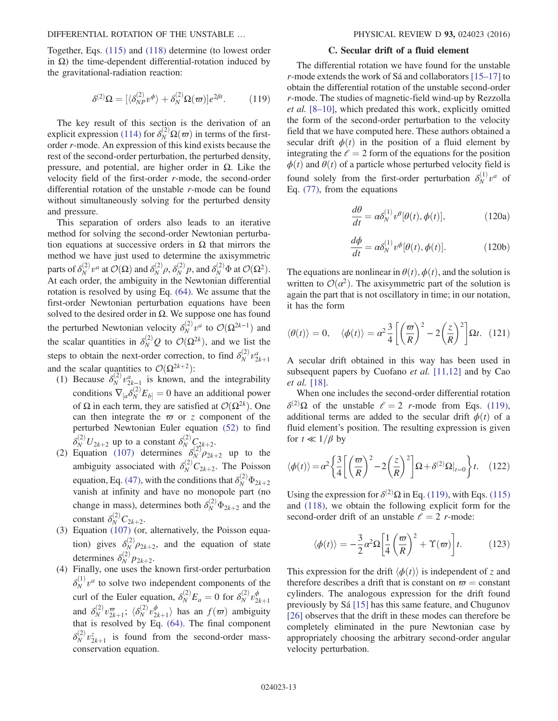<span id="page-12-0"></span>Together, Eqs. [\(115\)](#page-11-2) and [\(118\)](#page-11-3) determine (to lowest order in Ω) the time-dependent differential-rotation induced by the gravitational-radiation reaction:

$$
\delta^{(2)}\Omega = [\langle \delta_{NP}^{(2)} v^{\phi} \rangle + \delta_N^{(2)} \Omega(\varpi)] e^{2\beta t}.
$$
 (119)

The key result of this section is the derivation of an explicit expression [\(114\)](#page-11-4) for  $\delta_N^{(2)} \Omega(\varpi)$  in terms of the first-<br>order r-mode. An expression of this kind exists because the order r-mode. An expression of this kind exists because the rest of the second-order perturbation, the perturbed density, pressure, and potential, are higher order in Ω. Like the velocity field of the first-order r-mode, the second-order differential rotation of the unstable r-mode can be found without simultaneously solving for the perturbed density and pressure.

This separation of orders also leads to an iterative method for solving the second-order Newtonian perturbation equations at successive orders in  $\Omega$  that mirrors the method we have just used to determine the axisymmetric parts of  $\delta_N^{(2)} v^a$  at  $\mathcal{O}(\Omega)$  and  $\delta_N^{(2)} \rho$ ,  $\delta_N^{(2)} p$ , and  $\delta_N^{(2)} \Phi$  at  $\mathcal{O}(\Omega^2)$ .<br>At each order, the ambiguity in the Newtonian differential rotation is resolved by using Eq. [\(64\)](#page-6-7). We assume that the first-order Newtonian perturbation equations have been solved to the desired order in  $\Omega$ . We suppose one has found the perturbed Newtonian velocity  $\delta_N^{(2)} v^a$  to  $\mathcal{O}(\Omega^{2k-1})$  and the scalar quantities in  $\delta_N^{(2)} Q$  to  $\mathcal{O}(\Omega^{2k})$ , and we list the steps to obtain the next-order correction, to find  $\delta_N^{(2)} v_{2k+1}^a$ and the scalar quantities to  $\mathcal{O}(\Omega^{2k+2})$ :

- (1) Because  $\delta_N^{(2)} v_{2k-1}^a$  is known, and the integrability conditions  $\nabla_{[a} \delta_N^{(2)} E_{b]} = 0$  have an additional power of  $\Omega$  in each term, they are satisfied at  $\mathcal{O}(\Omega^{2k})$ . One can then integrate the  $\varpi$  or z component of the perturbed Newtonian Euler equation [\(52\)](#page-5-4) to find
- $\delta_N^{(2)} U_{2k+2}$  up to a constant  $\delta_N^{(2)} C_{2k+2}$ .<br>
(2) Equation [\(107\)](#page-10-6) determines  $\delta_N^{(2)} \rho_{2k+2}$  up to the ambiguity associated with  $\delta_N^{(2)} C_{2k+2}$ . The Poisson equation, Eq. [\(47\)](#page-5-1), with the conditions that  $\delta_N^{(2)} \Phi_{2k+2}$  vanish at infinity and have no monopole part (no change in mass), determines both  $\delta_N^{(2)} \Phi_{2k+2}$  and the constant  $\delta_N^{(2)} C_{2k+2}$ .<br>Fountion (107) (or
- (3) Equation [\(107\)](#page-10-6) (or, alternatively, the Poisson equation) gives  $\delta_N^{(2)} \rho_{2k+2}$ , and the equation of state determines  $\delta_N^{(2)} p_{2k+2}$ .<br>(4) Finally, one uses the known first-order perturbation
- $\delta_N^{(1)} v^a$  to solve two independent components of the curl of the Euler equation,  $\delta_N^{(2)} E_a = 0$  for  $\delta_N^{(2)} v_2^{\phi}$  $2k+1$ and  $\delta_N^{(2)} v_{2k+1}^{\overline{\omega}}$ ;  $\langle \delta_N^{(2)} v_{2k+1}^{\phi} \rangle$  has an  $f(\overline{\omega})$  ambiguity that is resolved by Eq. [\(64\).](#page-6-7) The final component  $\delta_N^{(2)} v_{2k+1}^z$  is found from the second-order mass-<br>conservation equation conservation equation.

#### C. Secular drift of a fluid element

The differential rotation we have found for the unstable r-mode extends the work of Sá and collaborators [15–[17\]](#page-19-6) to obtain the differential rotation of the unstable second-order r-mode. The studies of magnetic-field wind-up by Rezzolla et al. [8–[10\]](#page-19-3), which predated this work, explicitly omitted the form of the second-order perturbation to the velocity field that we have computed here. These authors obtained a secular drift  $\phi(t)$  in the position of a fluid element by integrating the  $\ell = 2$  form of the equations for the position  $\phi(t)$  and  $\theta(t)$  of a particle whose perturbed velocity field is found solely from the first-order perturbation  $\delta_N^{(1)} v^a$  of Eq. [\(77\)](#page-8-1), from the equations

$$
\frac{d\theta}{dt} = \alpha \delta_N^{(1)} v^{\theta} [\theta(t), \phi(t)], \qquad (120a)
$$

$$
\frac{d\phi}{dt} = \alpha \delta_N^{(1)} v^{\phi} [\theta(t), \phi(t)].
$$
 (120b)

The equations are nonlinear in  $\theta(t)$ ,  $\phi(t)$ , and the solution is written to  $\mathcal{O}(\alpha^2)$ . The axisymmetric part of the solution is again the part that is not oscillatory in time; in our notation, it has the form

$$
\langle \theta(t) \rangle = 0, \quad \langle \phi(t) \rangle = \alpha^2 \frac{3}{4} \left[ \left( \frac{\varpi}{R} \right)^2 - 2 \left( \frac{z}{R} \right)^2 \right] \Omega t. \tag{121}
$$

A secular drift obtained in this way has been used in subsequent papers by Cuofano *et al.* [\[11,12\]](#page-19-4) and by Cao et al. [\[18\].](#page-19-9)

When one includes the second-order differential rotation  $\delta^{(2)}\Omega$  of the unstable  $\ell = 2$  r-mode from Eqs. [\(119\)](#page-12-0), additional terms are added to the secular drift  $\phi(t)$  of a additional terms are added to the secular drift  $\phi(t)$  of a fluid element's position. The resulting expression is given for  $t \ll 1/\beta$  by

$$
\langle \phi(t) \rangle = \alpha^2 \left\{ \frac{3}{4} \left[ \left( \frac{\varpi}{R} \right)^2 - 2 \left( \frac{z}{R} \right)^2 \right] \Omega + \delta^{(2)} \Omega \big|_{t=0} \right\} t. \tag{122}
$$

<span id="page-12-1"></span>Using the expression for  $\delta^{(2)}\Omega$  in Eq. [\(119\),](#page-12-0) with Eqs. [\(115\)](#page-11-2) and [\(118\),](#page-11-3) we obtain the following explicit form for the second-order drift of an unstable  $l = 2$  r-mode:

$$
\langle \phi(t) \rangle = -\frac{3}{2} \alpha^2 \Omega \left[ \frac{1}{4} \left( \frac{\varpi}{R} \right)^2 + \Upsilon(\varpi) \right] t. \tag{123}
$$

This expression for the drift  $\langle \phi(t) \rangle$  is independent of z and therefore describes a drift that is constant on  $\varpi$  = constant cylinders. The analogous expression for the drift found previously by Sá [\[15\]](#page-19-6) has this same feature, and Chugunov [\[26\]](#page-19-18) observes that the drift in these modes can therefore be completely eliminated in the pure Newtonian case by appropriately choosing the arbitrary second-order angular velocity perturbation.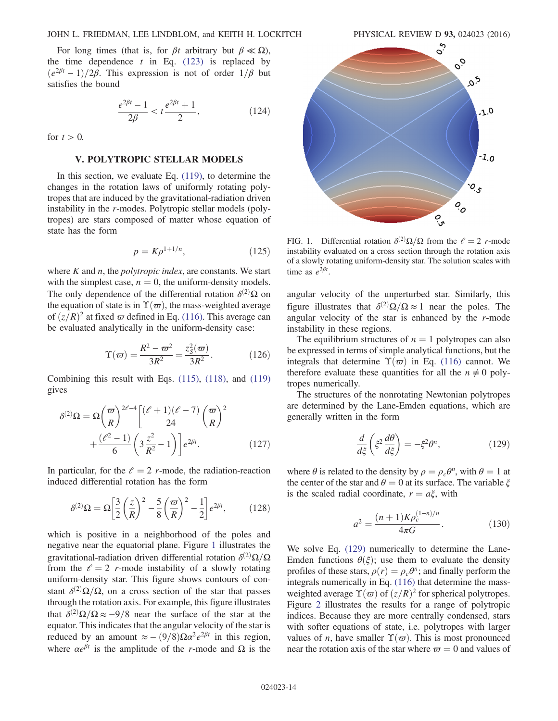For long times (that is, for  $\beta t$  arbitrary but  $\beta \ll \Omega$ ), the time dependence  $t$  in Eq. [\(123\)](#page-12-1) is replaced by  $\left(e^{2\beta t}-1\right)/2\beta$ . This expression is not of order  $1/\beta$  but satisfies the bound

$$
\frac{e^{2\beta t} - 1}{2\beta} < t \frac{e^{2\beta t} + 1}{2},\tag{124}
$$

<span id="page-13-0"></span>for  $t > 0$ .

#### V. POLYTROPIC STELLAR MODELS

In this section, we evaluate Eq. [\(119\),](#page-12-0) to determine the changes in the rotation laws of uniformly rotating polytropes that are induced by the gravitational-radiation driven instability in the r-modes. Polytropic stellar models (polytropes) are stars composed of matter whose equation of state has the form

$$
p = K\rho^{1+1/n},\tag{125}
$$

where  $K$  and  $n$ , the *polytropic index*, are constants. We start with the simplest case,  $n = 0$ , the uniform-density models. The only dependence of the differential rotation  $\delta^{(2)}\Omega$  on the equation of state is in  $\Upsilon(\omega)$ , the mass-weighted average of  $\left(\frac{z}{R}\right)^2$  at fixed  $\varpi$  defined in Eq. [\(116\)](#page-11-5). This average can be evaluated analytically in the uniform-density case:

$$
\Upsilon(\varpi) = \frac{R^2 - \varpi^2}{3R^2} = \frac{z_S^2(\varpi)}{3R^2}.
$$
 (126)

Combining this result with Eqs. [\(115\)](#page-11-2), [\(118\),](#page-11-3) and [\(119\)](#page-12-0) gives

$$
\delta^{(2)}\Omega = \Omega\left(\frac{\varpi}{R}\right)^{2\ell-4} \left[\frac{(\ell+1)(\ell-7)}{24}\left(\frac{\varpi}{R}\right)^2 + \frac{(\ell^2-1)}{6}\left(3\frac{z^2}{R^2} - 1\right)\right]e^{2\beta t}.\tag{127}
$$

In particular, for the  $l = 2$  r-mode, the radiation-reaction induced differential rotation has the form

$$
\delta^{(2)}\Omega = \Omega \left[\frac{3}{2}\left(\frac{z}{R}\right)^2 - \frac{5}{8}\left(\frac{\varpi}{R}\right)^2 - \frac{1}{2}\right]e^{2\beta t},\qquad(128)
$$

which is positive in a neighborhood of the poles and negative near the equatorial plane. Figure [1](#page-13-1) illustrates the gravitational-radiation driven differential rotation  $\delta^{(2)}\Omega/\Omega$ from the  $\ell = 2$  r-mode instability of a slowly rotating uniform-density star. This figure shows contours of constant  $\delta^{(2)}\Omega/\Omega$ , on a cross section of the star that passes through the rotation axis. For example, this figure illustrates that  $\delta^{(2)}\Omega/\Omega \approx -9/8$  near the surface of the star at the equator. This indicates that the angular velocity of the star is reduced by an amount  $\approx -\frac{(9/8)\Omega \alpha^2 e^{2\beta t}}{n}$  in this region, where  $\alpha e^{\beta t}$  is the amplitude of the r-mode and  $\Omega$  is the

<span id="page-13-1"></span>

FIG. 1. Differential rotation  $\delta^{(2)}\Omega/\Omega$  from the  $\ell = 2$  r-mode<br>instability evaluated on a cross section through the rotation axis instability evaluated on a cross section through the rotation axis of a slowly rotating uniform-density star. The solution scales with time as  $e^{2\beta t}$ .

angular velocity of the unperturbed star. Similarly, this figure illustrates that  $\delta^{(2)}\Omega/\Omega \approx 1$  near the poles. The angular velocity of the star is enhanced by the r-mode instability in these regions.

The equilibrium structures of  $n = 1$  polytropes can also be expressed in terms of simple analytical functions, but the integrals that determine  $\Upsilon(\varpi)$  in Eq. [\(116\)](#page-11-5) cannot. We therefore evaluate these quantities for all the  $n \neq 0$  polytropes numerically.

<span id="page-13-2"></span>The structures of the nonrotating Newtonian polytropes are determined by the Lane-Emden equations, which are generally written in the form

$$
\frac{d}{d\xi}\left(\xi^2 \frac{d\theta}{d\xi}\right) = -\xi^2 \theta^n,\tag{129}
$$

where  $\theta$  is related to the density by  $\rho = \rho_c \theta^n$ , with  $\theta = 1$  at the center of the star and  $\theta = 0$  at its surface. The variable  $\xi$ is the scaled radial coordinate,  $r = a\xi$ , with

$$
a^2 = \frac{(n+1)K\rho_c^{(1-n)/n}}{4\pi G}.
$$
 (130)

We solve Eq. [\(129\)](#page-13-2) numerically to determine the Lane-Emden functions  $\theta(\xi)$ ; use them to evaluate the density profiles of these stars,  $\rho(r) = \rho_c \theta^n$ ; and finally perform the integrals numerically in Eq. [\(116\)](#page-11-5) that determine the massweighted average  $\Upsilon(\varpi)$  of  $(z/R)^2$  for spherical polytropes. Figure [2](#page-14-0) illustrates the results for a range of polytropic indices. Because they are more centrally condensed, stars with softer equations of state, i.e. polytropes with larger values of *n*, have smaller  $\Upsilon(\varpi)$ . This is most pronounced near the rotation axis of the star where  $\varpi = 0$  and values of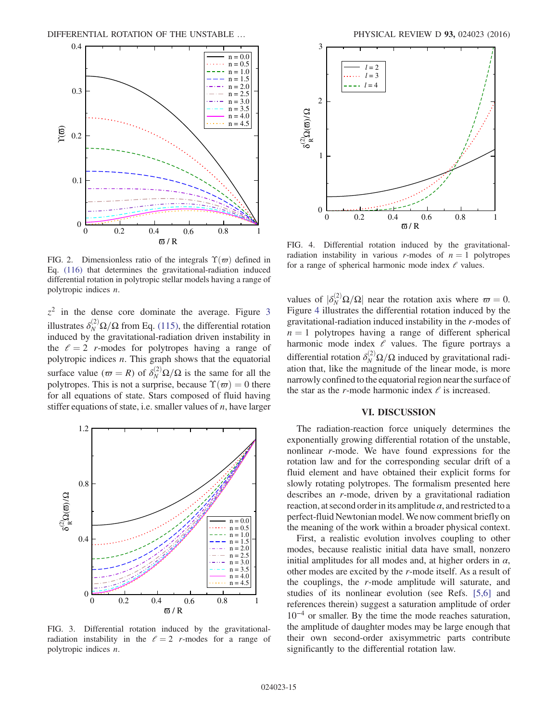<span id="page-14-0"></span>

FIG. 2. Dimensionless ratio of the integrals  $\Upsilon(\varpi)$  defined in Eq. [\(116\)](#page-11-5) that determines the gravitational-radiation induced differential rotation in polytropic stellar models having a range of polytropic indices n.

 $z<sup>2</sup>$  in the dense core dominate the average. Figure [3](#page-14-1) illustrates  $\delta_N^{(2)} \Omega / \Omega$  from Eq. [\(115\),](#page-11-2) the differential rotation induced by the gravitational-radiation driven instability in the  $\ell = 2$  r-modes for polytropes having a range of polytropic indices  $n$ . This graph shows that the equatorial surface value ( $\varpi = R$ ) of  $\delta_N^{(2)} \Omega / \Omega$  is the same for all the notwrones. This is not a surprise, because  $\Upsilon(\pi) = 0$  there polytropes. This is not a surprise, because  $\Upsilon(\varpi) = 0$  there for all equations of state. Stars composed of fluid having stiffer equations of state, i.e. smaller values of  $n$ , have larger

<span id="page-14-1"></span>

FIG. 3. Differential rotation induced by the gravitationalradiation instability in the  $l = 2$  r-modes for a range of polytropic indices n.

<span id="page-14-2"></span>

FIG. 4. Differential rotation induced by the gravitationalradiation instability in various r-modes of  $n = 1$  polytropes for a range of spherical harmonic mode index  $\ell$  values.

values of  $|\delta_N^{(2)}\Omega/\Omega|$  near the rotation axis where  $\varpi = 0$ .<br>Figure 4 illustrates the differential rotation induced by the Figure [4](#page-14-2) illustrates the differential rotation induced by the gravitational-radiation induced instability in the r-modes of  $n = 1$  polytropes having a range of different spherical harmonic mode index  $\ell$  values. The figure portrays a differential rotation  $\delta_N^{(2)} \Omega / \Omega$  induced by gravitational radiation that, like the magnitude of the linear mode, is more narrowly confined to the equatorial region near the surface of the star as the *r*-mode harmonic index  $\ell$  is increased.

#### VI. DISCUSSION

The radiation-reaction force uniquely determines the exponentially growing differential rotation of the unstable, nonlinear r-mode. We have found expressions for the rotation law and for the corresponding secular drift of a fluid element and have obtained their explicit forms for slowly rotating polytropes. The formalism presented here describes an r-mode, driven by a gravitational radiation reaction, at second order in its amplitude  $\alpha$ , and restricted to a perfect-fluid Newtonian model.We now comment briefly on the meaning of the work within a broader physical context.

First, a realistic evolution involves coupling to other modes, because realistic initial data have small, nonzero initial amplitudes for all modes and, at higher orders in  $\alpha$ , other modes are excited by the r-mode itself. As a result of the couplings, the r-mode amplitude will saturate, and studies of its nonlinear evolution (see Refs. [\[5,6\]](#page-19-19) and references therein) suggest a saturation amplitude of order 10<sup>−</sup><sup>4</sup> or smaller. By the time the mode reaches saturation, the amplitude of daughter modes may be large enough that their own second-order axisymmetric parts contribute significantly to the differential rotation law.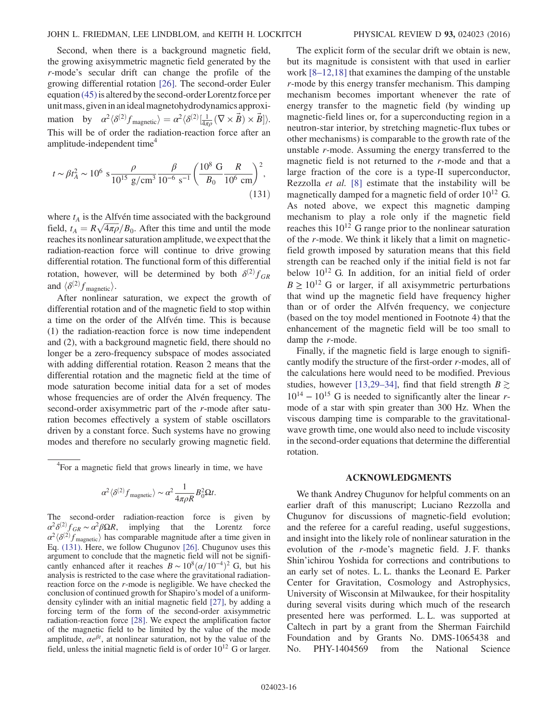Second, when there is a background magnetic field, the growing axisymmetric magnetic field generated by the r-mode's secular drift can change the profile of the growing differential rotation [\[26\].](#page-19-18) The second-order Euler equation [\(45\)](#page-5-0) is altered by the second-order Lorentz force per unit mass, givenin anidealmagnetohydrodynamics approximation by  $\alpha^2 \langle \delta^{(2)} f_{\text{magnetic}} \rangle = \alpha^2 \langle \delta^{(2)} \left[ \frac{1}{4\pi \rho} (\nabla \times \vec{B}) \times \vec{B} \right] \rangle.$ This will be of order the radiation-reaction force after an amplitude-independent time<sup>4</sup>

<span id="page-15-0"></span>
$$
t \sim \beta t_A^2 \sim 10^6 \text{ s} \frac{\rho}{10^{15} \text{ g/cm}^3} \frac{\beta}{10^{-6} \text{ s}^{-1}} \left(\frac{10^8 \text{ G}}{B_0} \frac{R}{10^6 \text{ cm}}\right)^2,
$$
\n(131)

where  $t_A$  is the Alfvén time associated with the background field,  $t_A = R\sqrt{4\pi\rho}/B_0$ . After this time and until the mode<br>reaches its nonlinear saturation amplitude, we expect that the reaches its nonlinear saturation amplitude, we expect that the radiation-reaction force will continue to drive growing differential rotation. The functional form of this differential rotation, however, will be determined by both  $\delta^{(2)}f_{GR}$ and  $\langle \delta^{(2)} f_{\text{magnetic}} \rangle$ .

After nonlinear saturation, we expect the growth of differential rotation and of the magnetic field to stop within a time on the order of the Alfvén time. This is because (1) the radiation-reaction force is now time independent and (2), with a background magnetic field, there should no longer be a zero-frequency subspace of modes associated with adding differential rotation. Reason 2 means that the differential rotation and the magnetic field at the time of mode saturation become initial data for a set of modes whose frequencies are of order the Alvén frequency. The second-order axisymmetric part of the r-mode after saturation becomes effectively a system of stable oscillators driven by a constant force. Such systems have no growing modes and therefore no secularly growing magnetic field.

<sup>4</sup>For a magnetic field that grows linearly in time, we have

$$
\alpha^2 \langle \delta^{(2)} f_{\text{magnetic}} \rangle \sim \alpha^2 \frac{1}{4\pi\rho R} B_0^2 \Omega t.
$$

The second-order radiation-reaction force is given by  $\alpha^2 \delta^{(2)} f_{GR} \sim \alpha^2 \beta \Omega R$ , implying that the Lorentz force  $\alpha^2 \langle \delta^{(2)} f_{\text{magnetic}} \rangle$  has comparable magnitude after a time given in Eq. (131). Here, we follow Chugunov [26] Chugunov uses this Eq. [\(131\)](#page-15-0). Here, we follow Chugunov [\[26\].](#page-19-18) Chugunov uses this argument to conclude that the magnetic field will not be significantly enhanced after it reaches  $B \sim 10^8 (\alpha/10^{-4})^2$  G, but his analysis is restricted to the case where the gravitational radiationreaction force on the r-mode is negligible. We have checked the conclusion of continued growth for Shapiro's model of a uniformdensity cylinder with an initial magnetic field [\[27\]](#page-19-20), by adding a forcing term of the form of the second-order axisymmetric radiation-reaction force [\[28\].](#page-19-21) We expect the amplification factor of the magnetic field to be limited by the value of the mode amplitude,  $\alpha e^{\beta t}$ , at nonlinear saturation, not by the value of the field, unless the initial magnetic field is of order  $10^{12}$  G or larger.

The explicit form of the secular drift we obtain is new, but its magnitude is consistent with that used in earlier work [8–[12,18\]](#page-19-3) that examines the damping of the unstable r-mode by this energy transfer mechanism. This damping mechanism becomes important whenever the rate of energy transfer to the magnetic field (by winding up magnetic-field lines or, for a superconducting region in a neutron-star interior, by stretching magnetic-flux tubes or other mechanisms) is comparable to the growth rate of the unstable r-mode. Assuming the energy transferred to the magnetic field is not returned to the r-mode and that a large fraction of the core is a type-II superconductor, Rezzolla et al. [\[8\]](#page-19-3) estimate that the instability will be magnetically damped for a magnetic field of order 1012 G. As noted above, we expect this magnetic damping mechanism to play a role only if the magnetic field reaches this  $10^{12}$  G range prior to the nonlinear saturation of the r-mode. We think it likely that a limit on magneticfield growth imposed by saturation means that this field strength can be reached only if the initial field is not far below  $10^{12}$  G. In addition, for an initial field of order  $B \ge 10^{12}$  G or larger, if all axisymmetric perturbations that wind up the magnetic field have frequency higher than or of order the Alfvén frequency, we conjecture (based on the toy model mentioned in Footnote 4) that the enhancement of the magnetic field will be too small to damp the r-mode.

Finally, if the magnetic field is large enough to significantly modify the structure of the first-order r-modes, all of the calculations here would need to be modified. Previous studies, however [\[13,29](#page-19-8)–34], find that field strength  $B \gtrsim$  $10^{14} - 10^{15}$  G is needed to significantly alter the linear rmode of a star with spin greater than 300 Hz. When the viscous damping time is comparable to the gravitationalwave growth time, one would also need to include viscosity in the second-order equations that determine the differential rotation.

#### ACKNOWLEDGMENTS

We thank Andrey Chugunov for helpful comments on an earlier draft of this manuscript; Luciano Rezzolla and Chugunov for discussions of magnetic-field evolution; and the referee for a careful reading, useful suggestions, and insight into the likely role of nonlinear saturation in the evolution of the r-mode's magnetic field. J. F. thanks Shin'ichirou Yoshida for corrections and contributions to an early set of notes. L. L. thanks the Leonard E. Parker Center for Gravitation, Cosmology and Astrophysics, University of Wisconsin at Milwaukee, for their hospitality during several visits during which much of the research presented here was performed. L. L. was supported at Caltech in part by a grant from the Sherman Fairchild Foundation and by Grants No. DMS-1065438 and No. PHY-1404569 from the National Science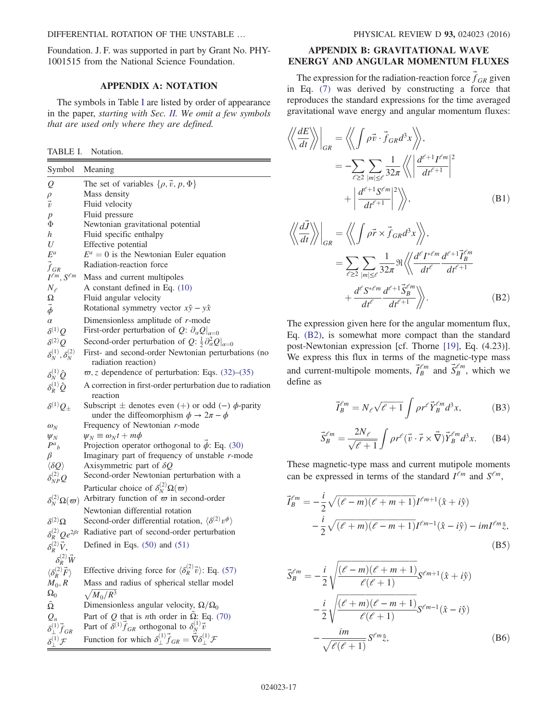Foundation. J. F. was supported in part by Grant No. PHY-1001515 from the National Science Foundation.

# APPENDIX A: NOTATION

<span id="page-16-0"></span>The symbols in Table [I](#page-16-2) are listed by order of appearance in the paper, starting with Sec. [II.](#page-1-0) We omit a few symbols that are used only where they are defined.

<span id="page-16-2"></span>TABLE I. Notation.

| Symbol                                                 | Meaning                                                                                                           |
|--------------------------------------------------------|-------------------------------------------------------------------------------------------------------------------|
| $\varrho$                                              | The set of variables $\{\rho, \vec{v}, p, \Phi\}$                                                                 |
| $\frac{\rho}{\vec{v}}$                                 | Mass density                                                                                                      |
|                                                        | Fluid velocity                                                                                                    |
| $\boldsymbol{p}$                                       | Fluid pressure                                                                                                    |
| Φ                                                      | Newtonian gravitational potential                                                                                 |
| $\boldsymbol{h}$                                       | Fluid specific enthalpy                                                                                           |
| $\boldsymbol{U}$<br>$E^a$                              | Effective potential<br>$E^a = 0$ is the Newtonian Euler equation                                                  |
|                                                        | Radiation-reaction force                                                                                          |
| $\vec{f}_{GR}$<br>$I^{\ell m}$ , $S^{\ell m}$          | Mass and current multipoles                                                                                       |
| $N_{\ell}$                                             | A constant defined in Eq. (10)                                                                                    |
| Ω                                                      | Fluid angular velocity                                                                                            |
| $\vec{\phi}$                                           | Rotational symmetry vector $x\hat{y} - y\hat{x}$                                                                  |
| $\alpha$                                               | Dimensionless amplitude of $r$ -mode                                                                              |
| $\delta^{(1)}Q$                                        | First-order perturbation of $Q: \partial_{\alpha}Q _{\alpha=0}$                                                   |
| $\delta^{(2)}Q$                                        | Second-order perturbation of $Q: \frac{1}{2}\partial_{\alpha}^{2}Q _{\alpha=0}$                                   |
| $\delta_N^{(1)}, \delta_N^{(2)}$                       | First- and second-order Newtonian perturbations (no<br>radiation reaction)                                        |
| $\delta_N^{(1)}\hat{\mathcal{Q}}$                      | $\overline{\omega}$ , z dependence of perturbation: Eqs. (32)–(35)                                                |
| $\delta_R^{(1)}\tilde{Q}$                              | A correction in first-order perturbation due to radiation<br>reaction                                             |
| $\delta^{(1)}{\cal Q}_\pm$                             | Subscript $\pm$ denotes even (+) or odd (-) $\phi$ -parity<br>under the diffeomorphism $\phi \to 2\pi - \phi$     |
| $\omega_N$                                             | Frequency of Newtonian r-mode                                                                                     |
| $\psi_N$                                               | $\psi_N \equiv \omega_N t + m\phi$                                                                                |
| $P^a{}_b$                                              | Projection operator orthogonal to $\phi$ : Eq. (30)                                                               |
| $\beta$                                                | Imaginary part of frequency of unstable r-mode                                                                    |
| $\langle \delta Q \rangle \over \delta^{(2)}_{NP} Q}$  | Axisymmetric part of $\delta Q$<br>Second-order Newtonian perturbation with a                                     |
|                                                        | Particular choice of $\delta_N^{(2)} \Omega(\omega)$                                                              |
|                                                        |                                                                                                                   |
|                                                        | $\delta_N^{(2)} \Omega(\omega)$ Arbitrary function of $\omega$ in second-order<br>Newtonian differential rotation |
| $\delta^{(2)}\Omega$                                   | Second-order differential rotation, $\langle \delta^{(2)} v^{\phi} \rangle$                                       |
|                                                        |                                                                                                                   |
|                                                        | $\delta_R^{(2)} Q e^{2\beta t}$ Radiative part of second-order perturbation<br>Defined in Eqs. (50) and (51)      |
| $\delta_R^{(2)} \vec{V}$ ,<br>$\delta_R^{(2)} \vec{W}$ |                                                                                                                   |
| $\langle \delta^{(2)}_R \vec{F} \rangle$               | Effective driving force for $\langle \delta_R^{(2)} \vec{v} \rangle$ : Eq. (57)                                   |
| $M_0, R$                                               | Mass and radius of spherical stellar model                                                                        |
| $\Omega_0$                                             | $\sqrt{M_0/R^3}$                                                                                                  |
| $\tilde{\Omega}$                                       | Dimensionless angular velocity, $\Omega/\Omega_0$                                                                 |
| $Q_n$                                                  | Part of Q that is <i>n</i> th order in $\tilde{\Omega}$ : Eq. (70)                                                |
| $\delta_{\perp}^{(1)} \vec{f}_{GR}$                    | Part of $\delta^{(1)}\vec{f}_{GR}$ orthogonal to $\delta^{(1)}_N\vec{v}$                                          |
| $\delta_{\perp}^{(1)} \mathcal{F}$                     | Function for which $\delta_{\perp}^{(1)} \vec{f}_{GR} = \vec{\nabla} \delta_{\perp}^{(1)} \mathcal{F}$            |

# <span id="page-16-1"></span>APPENDIX B: GRAVITATIONAL WAVE ENERGY AND ANGULAR MOMENTUM FLUXES

The expression for the radiation-reaction force  $f_{GR}$  given in Eq. [\(7\)](#page-1-2) was derived by constructing a force that reproduces the standard expressions for the time averaged gravitational wave energy and angular momentum fluxes:

<span id="page-16-4"></span>
$$
\left\langle \left\langle \frac{dE}{dt} \right\rangle \right\rangle_{GR} = \left\langle \left\langle \int \rho \vec{v} \cdot \vec{f}_{GR} d^3 x \right\rangle \right\rangle,
$$
  
\n
$$
= -\sum_{\ell \ge 2} \sum_{|m| \le \ell} \frac{1}{32\pi} \left\langle \left\langle \left| \frac{d^{\ell+1} I^{\ell m}}{dt^{\ell+1}} \right|^2 \right|
$$
  
\n
$$
+ \left| \frac{d^{\ell+1} S^{\ell m}}{dt^{\ell+1}} \right|^2 \right\rangle \right\rangle,
$$
 (B1)

<span id="page-16-3"></span>
$$
\left\langle \left\langle \frac{d\vec{J}}{dt} \right\rangle \right\rangle_{GR} = \left\langle \left\langle \int \rho \vec{r} \times \vec{f}_{GR} d^3 x \right\rangle \right\rangle,
$$
  
\n
$$
= \sum_{\ell \ge 2} \sum_{|m| \le \ell} \frac{1}{32\pi} \Re \left\langle \left\langle \frac{d^{\ell} I^{*\ell m}}{dt^{\ell}} \frac{d^{\ell+1} \vec{I}_{B}^{\ell m}}{dt^{\ell+1}} \right\rangle + \frac{d^{\ell} S^{*\ell m}}{dt^{\ell}} \frac{d^{\ell+1} \vec{S}_{B}^{\ell m}}{dt^{\ell+1}} \right\rangle \right\rangle.
$$
 (B2)

The expression given here for the angular momentum flux, Eq. [\(B2\),](#page-16-3) is somewhat more compact than the standard post-Newtonian expression [cf. Thorne [\[19\],](#page-19-10) Eq. (4.23)]. We express this flux in terms of the magnetic-type mass and current-multipole moments,  $\vec{I}_B^{\ell m}$  and  $\vec{S}_B^{\ell m}$ , which we define as

$$
\vec{I}_B^{\ell m} = N_\ell \sqrt{\ell+1} \int \rho r^\ell \vec{Y}_B^{\ell m} d^3 x,\tag{B3}
$$

$$
\vec{S}_{B}^{\ell m} = \frac{2N_{\ell}}{\sqrt{\ell+1}} \int \rho r^{\ell} (\vec{v} \cdot \vec{r} \times \vec{\nabla}) \vec{Y}_{B}^{\ell m} d^{3}x. \tag{B4}
$$

These magnetic-type mass and current mutipole moments can be expressed in terms of the standard  $I^{\ell m}$  and  $S^{\ell m}$ ,

$$
\vec{I}_{B}^{\ell m} = -\frac{i}{2} \sqrt{(\ell - m)(\ell + m + 1)} I^{\ell m + 1}(\hat{x} + i\hat{y})
$$

$$
-\frac{i}{2} \sqrt{(\ell + m)(\ell - m + 1)} I^{\ell m - 1}(\hat{x} - i\hat{y}) - imI^{\ell m} \hat{z},
$$
(B5)

$$
\vec{S}_{B}^{\ell m} = -\frac{i}{2} \sqrt{\frac{(\ell - m)(\ell + m + 1)}{\ell(\ell + 1)}} S^{\ell m + 1}(\hat{x} + i\hat{y})
$$

$$
-\frac{i}{2} \sqrt{\frac{(\ell + m)(\ell - m + 1)}{\ell(\ell + 1)}} S^{\ell m - 1}(\hat{x} - i\hat{y})
$$

$$
-\frac{im}{\sqrt{\ell(\ell + 1)}} S^{\ell m} \hat{z}, \qquad (B6)
$$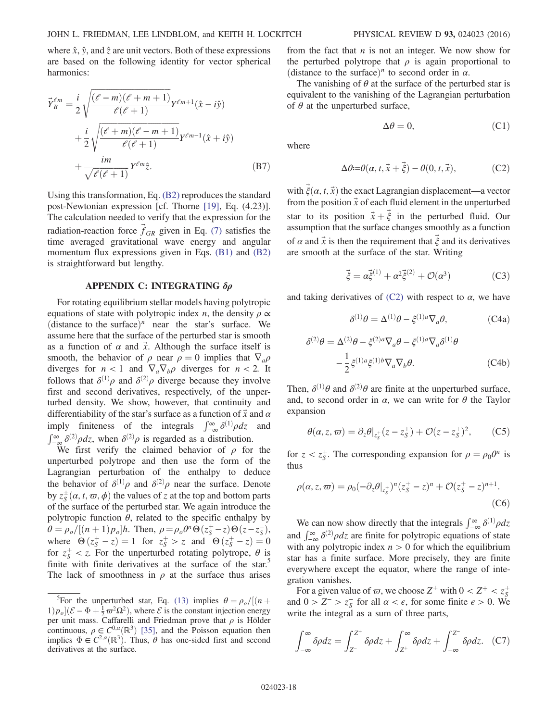where  $\hat{x}$ ,  $\hat{y}$ , and  $\hat{z}$  are unit vectors. Both of these expressions are based on the following identity for vector spherical harmonics:

$$
\vec{Y}_{B}^{\ell m} = \frac{i}{2} \sqrt{\frac{(\ell - m)(\ell + m + 1)}{\ell(\ell + 1)}} Y^{\ell m + 1}(\hat{x} - i\hat{y})
$$

$$
+ \frac{i}{2} \sqrt{\frac{(\ell + m)(\ell - m + 1)}{\ell(\ell + 1)}} Y^{\ell m - 1}(\hat{x} + i\hat{y})
$$

$$
+ \frac{im}{\sqrt{\ell(\ell + 1)}} Y^{\ell m} \hat{z}.
$$
(B7)

Using this transformation, Eq. [\(B2\)](#page-16-3) reproduces the standard post-Newtonian expression [cf. Thorne [\[19\],](#page-19-10) Eq. (4.23)]. The calculation needed to verify that the expression for the radiation-reaction force  $f_{GR}$  given in Eq. [\(7\)](#page-1-2) satisfies the time averaged gravitational wave energy and angular momentum flux expressions given in Eqs. [\(B1\)](#page-16-4) and [\(B2\)](#page-16-3) is straightforward but lengthy.

# APPENDIX C: INTEGRATING δρ

<span id="page-17-0"></span>For rotating equilibrium stellar models having polytropic equations of state with polytropic index *n*, the density  $\rho \propto$ (distance to the surface)<sup>n</sup> near the star's surface. We assume here that the surface of the perturbed star is smooth as a function of  $\alpha$  and  $\vec{x}$ . Although the surface itself is smooth, the behavior of  $\rho$  near  $\rho = 0$  implies that  $\nabla_a \rho$ diverges for  $n < 1$  and  $\nabla_a \nabla_b \rho$  diverges for  $n < 2$ . It follows that  $\delta^{(1)}\rho$  and  $\delta^{(2)}\rho$  diverge because they involve first and second derivatives, respectively, of the unperturbed density. We show, however, that continuity and differentiability of the star's surface as a function of  $\vec{x}$  and  $\alpha$ imply finiteness of the integrals  $\int_{-\infty}^{\infty} \delta^{(1)} \rho dz$  and  $\int_{-\infty}^{\infty} \delta^{(2)} \rho dz$ , when  $\delta^{(2)} \rho$  is regarded as a distribution.

We first verify the claimed behavior of  $\rho$  for the unperturbed polytrope and then use the form of the Lagrangian perturbation of the enthalpy to deduce the behavior of  $\delta^{(1)}\rho$  and  $\delta^{(2)}\rho$  near the surface. Denote by  $z^{\pm}_{S}(\alpha, t, \varpi, \phi)$  the values of z at the top and bottom parts of the surface of the perturbed star. We again introduce the of the surface of the perturbed star. We again introduce the polytropic function  $\theta$ , related to the specific enthalpy by  $\theta = \rho_o / [(n+1)\rho_o]h$ . Then,  $\rho = \rho_o \theta^n \Theta(z_5^+ - z) \Theta(z - z_5^-),$ <br>where  $\Theta(z^+ - z) = 1$  for  $z^+ > z$  and  $\Theta(z^+ - z) = 0$ where  $\Theta(z_5^+ - z) = 1$  for  $z_5^+ > z$  and  $\Theta(z_5^+ - z) = 0$ <br>for  $z^+ < z$ . For the unperturbed rotating polytrope  $\theta$  is for  $z_s^+ < z$ . For the unperturbed rotating polytrope,  $\theta$  is finite with finite derivatives at the surface of the star.<sup>5</sup> The lack of smoothness in  $\rho$  at the surface thus arises from the fact that  $n$  is not an integer. We now show for the perturbed polytrope that  $\rho$  is again proportional to (distance to the surface)<sup>*n*</sup> to second order in  $\alpha$ .

The vanishing of  $\theta$  at the surface of the perturbed star is equivalent to the vanishing of the Lagrangian perturbation of  $\theta$  at the unperturbed surface,

$$
\Delta \theta = 0, \tag{C1}
$$

<span id="page-17-1"></span>where

$$
\Delta \theta = \theta(\alpha, t, \vec{x} + \vec{\xi}) - \theta(0, t, \vec{x}), \qquad (C2)
$$

with  $\zeta(\alpha, t, \vec{x})$  the exact Lagrangian displacement—a vector from the position  $\vec{x}$  of each fluid element in the unperturbed star to its position  $\vec{x} + \vec{\xi}$  in the perturbed fluid. Our assumption that the surface changes smoothly as a function of  $\alpha$  and  $\vec{x}$  is then the requirement that  $\vec{\xi}$  and its derivatives are smooth at the surface of the star. Writing

$$
\vec{\xi} = \alpha \vec{\xi}^{(1)} + \alpha^2 \vec{\xi}^{(2)} + \mathcal{O}(\alpha^3)
$$
 (C3)

and taking derivatives of  $(C2)$  with respect to  $\alpha$ , we have

$$
\delta^{(1)}\theta = \Delta^{(1)}\theta - \xi^{(1)a}\nabla_a\theta, \qquad (C4a)
$$

$$
\delta^{(2)}\theta = \Delta^{(2)}\theta - \xi^{(2)a}\nabla_a\theta - \xi^{(1)a}\nabla_a\delta^{(1)}\theta
$$

$$
-\frac{1}{2}\xi^{(1)a}\xi^{(1)b}\nabla_a\nabla_b\theta.
$$
 (C4b)

Then,  $\delta^{(1)}\theta$  and  $\delta^{(2)}\theta$  are finite at the unperturbed surface, and, to second order in  $\alpha$ , we can write for  $\theta$  the Taylor expansion

$$
\theta(\alpha, z, \varpi) = \partial_z \theta|_{z_s^+}(z - z_s^+) + \mathcal{O}(z - z_s^+)^2, \qquad \text{(C5)}
$$

for  $z < z_s^+$ . The corresponding expansion for  $\rho = \rho_0 \theta^n$  is thus thus

$$
\rho(\alpha, z, \varpi) = \rho_0(-\partial_z \theta|_{z_s^+})^n (z_s^+ - z)^n + \mathcal{O}(z_s^+ - z)^{n+1}.
$$
\n(C6)

We can now show directly that the integrals  $\int_{-\infty}^{\infty} \delta^{(1)} \rho dz$ and  $\int_{-\infty}^{\infty} \delta^{(2)} \rho dz$  are finite for polytropic equations of state with any polytropic index  $n > 0$  for which the equilibrium star has a finite surface. More precisely, they are finite everywhere except the equator, where the range of integration vanishes.

For a given value of  $\varpi$ , we choose  $Z^{\pm}$  with  $0 < Z^{+} < z_{S}^{+}$ and  $0 > Z^- > z_S^-$  for all  $\alpha < \epsilon$ , for some finite  $\epsilon > 0$ . We write the integral as a sum of three parts,

$$
\int_{-\infty}^{\infty} \delta \rho dz = \int_{Z^{-}}^{Z^{+}} \delta \rho dz + \int_{Z^{+}}^{\infty} \delta \rho dz + \int_{-\infty}^{Z^{-}} \delta \rho dz. \quad (C7)
$$

<sup>&</sup>lt;sup>5</sup>For the unperturbed star, Eq. [\(13\)](#page-2-2) implies  $\theta = \rho_o/[(n + n)(\mathcal{E} - \Phi + \frac{1}{2}\pi^2 Q^2)$  where  $\mathcal{E}$  is the constant injection energy  $1/p_o$   $(\mathcal{E} - \Phi + \frac{1}{2}\varpi^2 \Omega^2)$ , where  $\mathcal E$  is the constant injection energy<br>per unit mass. Caffarelli and Friedman prove that a is Hölder per unit mass. Caffarelli and Friedman prove that  $\rho$  is Hölder continuous,  $\rho \in C^{0,\alpha}(\mathbb{R}^3)$  [\[35\]](#page-19-22), and the Poisson equation then implies  $\Phi \in C^{2,\alpha}(\mathbb{R}^3)$ . Thus,  $\theta$  has one-sided first and second derivatives at the surface.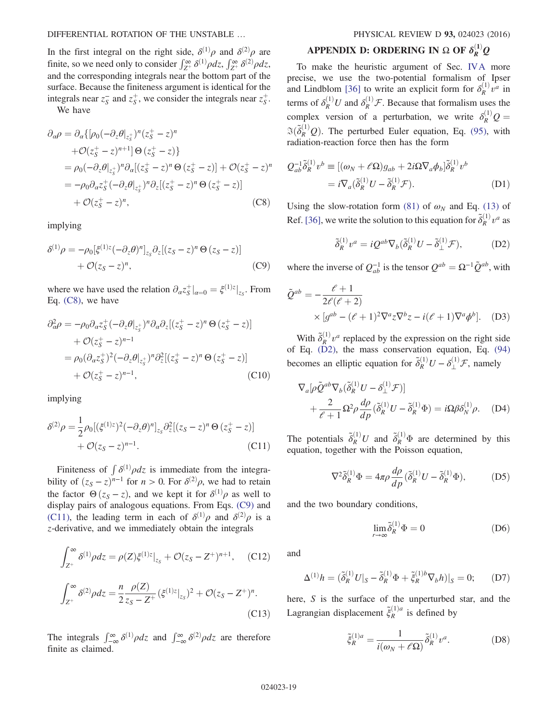In the first integral on the right side,  $\delta^{(1)}\rho$  and  $\delta^{(2)}\rho$  are finite, so we need only to consider  $\int_{Z^+}^{\infty} \delta^{(1)} \rho dz$ ,  $\int_{Z^+}^{\infty} \delta^{(2)} \rho dz$ , and the corresponding integrals near the bottom part of the surface. Because the finiteness argument is identical for the integrals near  $z_S^-$  and  $z_S^+$ , we consider the integrals near  $z_S^+$ .

<span id="page-18-1"></span>We have

$$
\partial_{\alpha}\rho = \partial_{\alpha}\{[\rho_{0}(-\partial_{z}\theta|_{z_{5}^{+}})^{n}(z_{S}^{+}-z)^{n} + \mathcal{O}(z_{S}^{+}-z)^{n+1}]\Theta(z_{S}^{+}-z)\}\
$$
  
\n
$$
= \rho_{0}(-\partial_{z}\theta|_{z_{S}^{+}})^{n}\partial_{\alpha}[(z_{S}^{+}-z)^{n}\Theta(z_{S}^{+}-z)] + \mathcal{O}(z_{S}^{+}-z)^{n}
$$
  
\n
$$
= -\rho_{0}\partial_{\alpha}z_{S}^{+}(-\partial_{z}\theta|_{z_{S}^{+}})^{n}\partial_{z}[(z_{S}^{+}-z)^{n}\Theta(z_{S}^{+}-z)]
$$
  
\n
$$
+ \mathcal{O}(z_{S}^{+}-z)^{n}, \qquad (C8)
$$

<span id="page-18-2"></span>implying

$$
\delta^{(1)}\rho = -\rho_0[\xi^{(1)z}(-\partial_z\theta)^n]_{z_S}\partial_z[(z_S - z)^n \Theta(z_S - z)]
$$
  
+  $\mathcal{O}(z_S - z)^n$ , (C9)

where we have used the relation  $\partial_{\alpha} z_{S}^{+}|_{\alpha=0} = \xi^{(1)z}|_{z_{S}}$ . From Eq.  $(C8)$ , we have

$$
\partial_{\alpha}^2 \rho = -\rho_0 \partial_{\alpha} z_S^+ (-\partial_z \theta|_{z_S^+})^n \partial_{\alpha} \partial_z [ (z_S^+ - z)^n \Theta (z_S^+ - z) ]
$$
  
+ 
$$
\mathcal{O}(z_S^+ - z)^{n-1}
$$
  
= 
$$
\rho_0 (\partial_{\alpha} z_S^+)^2 (-\partial_z \theta|_{z_S^+})^n \partial_z^2 [ (z_S^+ - z)^n \Theta (z_S^+ - z) ]
$$
  
+ 
$$
\mathcal{O}(z_S^+ - z)^{n-1},
$$
 (C10)

<span id="page-18-3"></span>implying

$$
\delta^{(2)} \rho = \frac{1}{2} \rho_0 [(\xi^{(1)} z)^2 (-\partial_z \theta)^n]_{z_S} \partial_z^2 [(z_S - z)^n \Theta (z_S^+ - z)] + \mathcal{O}(z_S - z)^{n-1}.
$$
 (C11)

Finiteness of  $\int \delta^{(1)} \rho dz$  is immediate from the integrability of  $(z_s - z)^{n-1}$  for  $n > 0$ . For  $\delta^{(2)} \rho$ , we had to retain<br>the factor  $\Theta(z, z)$  and we kept it for  $\delta^{(1)}$  a.g. well to the factor  $\Theta(z_s - z)$ , and we kept it for  $\delta^{(1)}\rho$  as well to display pairs of analogous equations. From Eqs. (C9) and display pairs of analogous equations. From Eqs. [\(C9\)](#page-18-2) and [\(C11\)](#page-18-3), the leading term in each of  $\delta^{(1)}\rho$  and  $\delta^{(2)}\rho$  is a z-derivative, and we immediately obtain the integrals

$$
\int_{Z^{+}}^{\infty} \delta^{(1)} \rho dz = \rho(Z) \xi^{(1)z} \Big|_{z_{S}} + \mathcal{O}(z_{S} - Z^{+})^{n+1}, \quad \text{(C12)}
$$

$$
\int_{Z^{+}}^{\infty} \delta^{(2)} \rho dz = \frac{n}{2} \frac{\rho(Z)}{z_{S} - Z^{+}} (\xi^{(1)z} \Big|_{z_{S}})^{2} + \mathcal{O}(z_{S} - Z^{+})^{n}.
$$

$$
\text{(C13)}
$$

The integrals  $\int_{-\infty}^{\infty} \delta^{(1)} \rho dz$  and  $\int_{-\infty}^{\infty} \delta^{(2)} \rho dz$  are therefore finite as claimed.

# APPENDIX D: ORDERING IN Ω OF  $\delta^{(1)}_R\mathcal{Q}$

<span id="page-18-0"></span>To make the heuristic argument of Sec. [IVA](#page-8-7) more precise, we use the two-potential formalism of Ipser and Lindblom [\[36\]](#page-19-23) to write an explicit form for  $\delta_R^{(1)} v^a$  in terms of  $\delta_R^{(1)} U$  and  $\delta_R^{(1)} \mathcal{F}$ . Because that formalism uses the complex version of a perturbation, we write  $\delta_R^{(1)}Q = \delta(\tilde{\epsilon}_R^{(1)})$  $\mathfrak{F}(\tilde{\delta}_R^{(1)}Q)$ . The perturbed Euler equation, Eq. [\(95\),](#page-9-1) with radiation-reaction force then has the form radiation-reaction force then has the form

$$
Q_{ab}^{-1}\tilde{\delta}_R^{(1)}v^b \equiv [(\omega_N + \ell \Omega)g_{ab} + 2i\Omega \nabla_a \phi_b] \tilde{\delta}_R^{(1)}v^b
$$
  
=  $i \nabla_a (\tilde{\delta}_R^{(1)}U - \tilde{\delta}_R^{(1)}\mathcal{F}).$  (D1)

<span id="page-18-4"></span>Using the slow-rotation form [\(81\)](#page-8-5) of  $\omega_N$  and Eq. [\(13\)](#page-2-2) of Ref. [\[36\]](#page-19-23), we write the solution to this equation for  $\tilde{\delta}_R^{(1)} v^a$  as

$$
\tilde{\delta}_R^{(1)} v^a = i Q^{ab} \nabla_b (\tilde{\delta}_R^{(1)} U - \tilde{\delta}_\perp^{(1)} \mathcal{F}), \tag{D2}
$$

where the inverse of  $Q_{ab}^{-1}$  is the tensor  $Q^{ab} = \Omega^{-1} \tilde{Q}^{ab}$ , with

$$
\tilde{Q}^{ab} = -\frac{\ell+1}{2\ell(\ell+2)}
$$
  
 
$$
\times [g^{ab} - (\ell+1)^2 \nabla^a z \nabla^b z - i(\ell+1) \nabla^a \phi^b].
$$
 (D3)

<span id="page-18-6"></span>With  $\tilde{\delta}_R^{(1)} v^a$  replaced by the expression on the right side of Eq. [\(D2\)](#page-18-4), the mass conservation equation, Eq. [\(94\)](#page-9-2) becomes an elliptic equation for  $\tilde{\delta}_R^{(1)} U - \delta_{\perp}^{(1)} \mathcal{F}$ , namely

$$
\nabla_a[\rho \tilde{Q}^{ab}\nabla_b(\tilde{\delta}_R^{(1)}U - \delta_\perp^{(1)}\mathcal{F})] + \frac{2}{\ell+1}\Omega^2\rho \frac{d\rho}{dp}(\tilde{\delta}_R^{(1)}U - \tilde{\delta}_R^{(1)}\Phi) = i\Omega\beta\delta_N^{(1)}\rho.
$$
 (D4)

<span id="page-18-5"></span>The potentials  $\tilde{\delta}_R^{(1)}U$  and  $\tilde{\delta}_R^{(1)}\Phi$  are determined by this equation, together with the Poisson equation,

$$
\nabla^2 \tilde{\delta}_R^{(1)} \Phi = 4\pi \rho \frac{d\rho}{dp} (\tilde{\delta}_R^{(1)} U - \tilde{\delta}_R^{(1)} \Phi), \tag{D5}
$$

and the two boundary conditions,

$$
\lim_{r \to \infty} \tilde{\delta}_R^{(1)} \Phi = 0 \tag{D6}
$$

and

$$
\Delta^{(1)}h = (\tilde{\delta}_R^{(1)}U|_S - \tilde{\delta}_R^{(1)}\Phi + \tilde{\xi}_R^{(1)b}\nabla_b h)|_S = 0; \quad (D7)
$$

here, S is the surface of the unperturbed star, and the Lagrangian displacement  $\tilde{\xi}_R^{(1)a}$  is defined by

$$
\tilde{\xi}_R^{(1)a} = \frac{1}{i(\omega_N + \ell \Omega)} \tilde{\delta}_R^{(1)} v^a.
$$
 (D8)